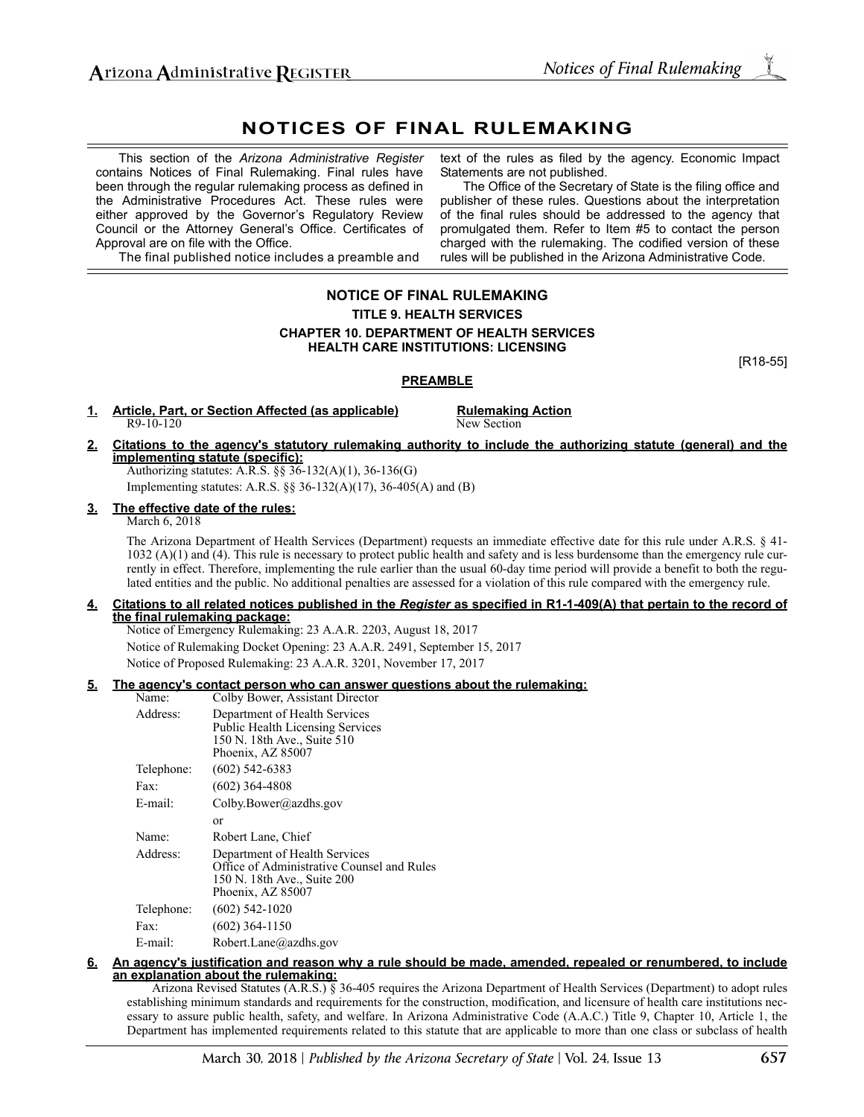# **NOTICES OF FINAL RULEMAKING**

This section of the *Arizona Administrative Register* contains Notices of Final Rulemaking. Final rules have been through the regular rulemaking process as defined in the Administrative Procedures Act. These rules were either approved by the Governor's Regulatory Review Council or the Attorney General's Office. Certificates of Approval are on file with the Office.

text of the rules as filed by the agency. Economic Impact Statements are not published.

The Office of the Secretary of State is the filing office and publisher of these rules. Questions about the interpretation of the final rules should be addressed to the agency that promulgated them. Refer to Item #5 to contact the person charged with the rulemaking. The codified version of these rules will be published in the Arizona Administrative Code.

The final published notice includes a preamble and

## **NOTICE OF FINAL RULEMAKING TITLE 9. HEALTH SERVICES CHAPTER 10. DEPARTMENT OF HEALTH SERVICES HEALTH CARE INSTITUTIONS: LICENSING**

[R18-55]

### **PREAMBLE**

**1. Article, Part, or Section Affected (as applicable) Rulemaking Action** R9-10-120 New Section

**2. Citations to the agency's statutory rulemaking authority to include the authorizing statute (general) and the implementing statute (specific):** Authorizing statutes: A.R.S. §§ 36-132(A)(1), 36-136(G)

Implementing statutes: A.R.S. §§ 36-132(A)(17), 36-405(A) and (B)

## **3. The effective date of the rules:**

March 6, 2018

The Arizona Department of Health Services (Department) requests an immediate effective date for this rule under A.R.S. § 41- 1032 (A)(1) and (4). This rule is necessary to protect public health and safety and is less burdensome than the emergency rule currently in effect. Therefore, implementing the rule earlier than the usual 60-day time period will provide a benefit to both the regulated entities and the public. No additional penalties are assessed for a violation of this rule compared with the emergency rule.

#### **4. Citations to all related notices published in the** *Register* **as specified in R1-1-409(A) that pertain to the record of the final rulemaking package:**

Notice of Emergency Rulemaking: 23 A.A.R. 2203, August 18, 2017 Notice of Rulemaking Docket Opening: 23 A.A.R. 2491, September 15, 2017 Notice of Proposed Rulemaking: 23 A.A.R. 3201, November 17, 2017

### **5. The agency's contact person who can answer questions about the rulemaking:**

| Name:      | Colby Bower, Assistant Director                                                                                                 |
|------------|---------------------------------------------------------------------------------------------------------------------------------|
| Address:   | Department of Health Services<br><b>Public Health Licensing Services</b><br>150 N. 18th Ave., Suite 510<br>Phoenix, AZ 85007    |
| Telephone: | $(602)$ 542-6383                                                                                                                |
| Fax:       | $(602)$ 364-4808                                                                                                                |
| E-mail:    | Colby.Bower@azdhs.gov                                                                                                           |
|            | or                                                                                                                              |
| Name:      | Robert Lane, Chief                                                                                                              |
| Address:   | Department of Health Services<br>Office of Administrative Counsel and Rules<br>150 N. 18th Ave., Suite 200<br>Phoenix, AZ 85007 |
| Telephone: | $(602)$ 542-1020                                                                                                                |
| Fax:       | $(602)$ 364-1150                                                                                                                |
| E-mail:    | Robert.Lane@azdhs.gov                                                                                                           |

#### **6. An agency's justification and reason why a rule should be made, amended, repealed or renumbered, to include an explanation about the rulemaking:**

Arizona Revised Statutes (A.R.S.) § 36-405 requires the Arizona Department of Health Services (Department) to adopt rules establishing minimum standards and requirements for the construction, modification, and licensure of health care institutions necessary to assure public health, safety, and welfare. In Arizona Administrative Code (A.A.C.) Title 9, Chapter 10, Article 1, the Department has implemented requirements related to this statute that are applicable to more than one class or subclass of health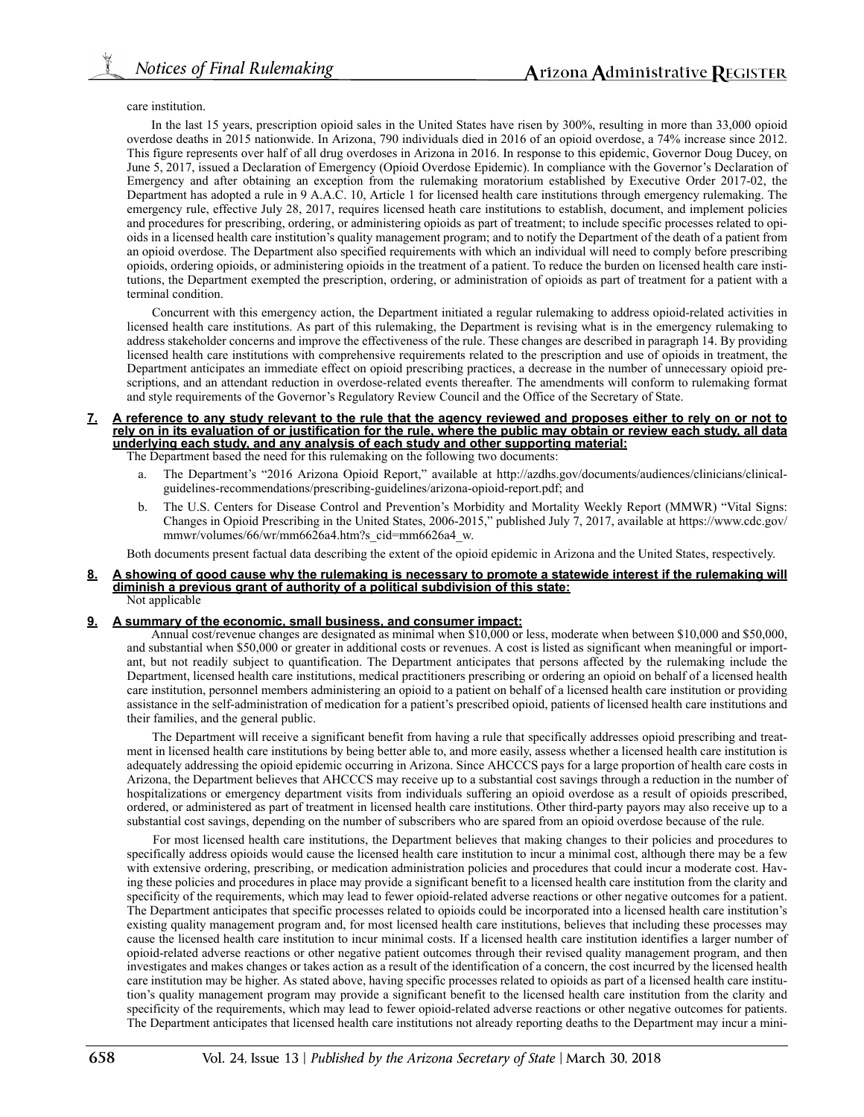care institution.

In the last 15 years, prescription opioid sales in the United States have risen by 300%, resulting in more than 33,000 opioid overdose deaths in 2015 nationwide. In Arizona, 790 individuals died in 2016 of an opioid overdose, a 74% increase since 2012. This figure represents over half of all drug overdoses in Arizona in 2016. In response to this epidemic, Governor Doug Ducey, on June 5, 2017, issued a Declaration of Emergency (Opioid Overdose Epidemic). In compliance with the Governor's Declaration of Emergency and after obtaining an exception from the rulemaking moratorium established by Executive Order 2017-02, the Department has adopted a rule in 9 A.A.C. 10, Article 1 for licensed health care institutions through emergency rulemaking. The emergency rule, effective July 28, 2017, requires licensed heath care institutions to establish, document, and implement policies and procedures for prescribing, ordering, or administering opioids as part of treatment; to include specific processes related to opioids in a licensed health care institution's quality management program; and to notify the Department of the death of a patient from an opioid overdose. The Department also specified requirements with which an individual will need to comply before prescribing opioids, ordering opioids, or administering opioids in the treatment of a patient. To reduce the burden on licensed health care institutions, the Department exempted the prescription, ordering, or administration of opioids as part of treatment for a patient with a terminal condition.

Concurrent with this emergency action, the Department initiated a regular rulemaking to address opioid-related activities in licensed health care institutions. As part of this rulemaking, the Department is revising what is in the emergency rulemaking to address stakeholder concerns and improve the effectiveness of the rule. These changes are described in paragraph 14. By providing licensed health care institutions with comprehensive requirements related to the prescription and use of opioids in treatment, the Department anticipates an immediate effect on opioid prescribing practices, a decrease in the number of unnecessary opioid prescriptions, and an attendant reduction in overdose-related events thereafter. The amendments will conform to rulemaking format and style requirements of the Governor's Regulatory Review Council and the Office of the Secretary of State.

#### **7. A reference to any study relevant to the rule that the agency reviewed and proposes either to rely on or not to rely on in its evaluation of or justification for the rule, where the public may obtain or review each study, all data underlying each study, and any analysis of each study and other supporting material:** The Department based the need for this rulemaking on the following two documents:

- a. The Department's "2016 Arizona Opioid Report," available at http://azdhs.gov/documents/audiences/clinicians/clinicalguidelines-recommendations/prescribing-guidelines/arizona-opioid-report.pdf; and
- b. The U.S. Centers for Disease Control and Prevention's Morbidity and Mortality Weekly Report (MMWR) "Vital Signs: Changes in Opioid Prescribing in the United States, 2006-2015," published July 7, 2017, available at https://www.cdc.gov/ mmwr/volumes/66/wr/mm6626a4.htm?s\_cid=mm6626a4\_w.

Both documents present factual data describing the extent of the opioid epidemic in Arizona and the United States, respectively.

#### **8. A showing of good cause why the rulemaking is necessary to promote a statewide interest if the rulemaking will diminish a previous grant of authority of a political subdivision of this state:** Not applicable

#### **9. A summary of the economic, small business, and consumer impact:**

Annual cost/revenue changes are designated as minimal when \$10,000 or less, moderate when between \$10,000 and \$50,000, and substantial when \$50,000 or greater in additional costs or revenues. A cost is listed as significant when meaningful or important, but not readily subject to quantification. The Department anticipates that persons affected by the rulemaking include the Department, licensed health care institutions, medical practitioners prescribing or ordering an opioid on behalf of a licensed health care institution, personnel members administering an opioid to a patient on behalf of a licensed health care institution or providing assistance in the self-administration of medication for a patient's prescribed opioid, patients of licensed health care institutions and their families, and the general public.

The Department will receive a significant benefit from having a rule that specifically addresses opioid prescribing and treatment in licensed health care institutions by being better able to, and more easily, assess whether a licensed health care institution is adequately addressing the opioid epidemic occurring in Arizona. Since AHCCCS pays for a large proportion of health care costs in Arizona, the Department believes that AHCCCS may receive up to a substantial cost savings through a reduction in the number of hospitalizations or emergency department visits from individuals suffering an opioid overdose as a result of opioids prescribed, ordered, or administered as part of treatment in licensed health care institutions. Other third-party payors may also receive up to a substantial cost savings, depending on the number of subscribers who are spared from an opioid overdose because of the rule.

For most licensed health care institutions, the Department believes that making changes to their policies and procedures to specifically address opioids would cause the licensed health care institution to incur a minimal cost, although there may be a few with extensive ordering, prescribing, or medication administration policies and procedures that could incur a moderate cost. Having these policies and procedures in place may provide a significant benefit to a licensed health care institution from the clarity and specificity of the requirements, which may lead to fewer opioid-related adverse reactions or other negative outcomes for a patient. The Department anticipates that specific processes related to opioids could be incorporated into a licensed health care institution's existing quality management program and, for most licensed health care institutions, believes that including these processes may cause the licensed health care institution to incur minimal costs. If a licensed health care institution identifies a larger number of opioid-related adverse reactions or other negative patient outcomes through their revised quality management program, and then investigates and makes changes or takes action as a result of the identification of a concern, the cost incurred by the licensed health care institution may be higher. As stated above, having specific processes related to opioids as part of a licensed health care institution's quality management program may provide a significant benefit to the licensed health care institution from the clarity and specificity of the requirements, which may lead to fewer opioid-related adverse reactions or other negative outcomes for patients. The Department anticipates that licensed health care institutions not already reporting deaths to the Department may incur a mini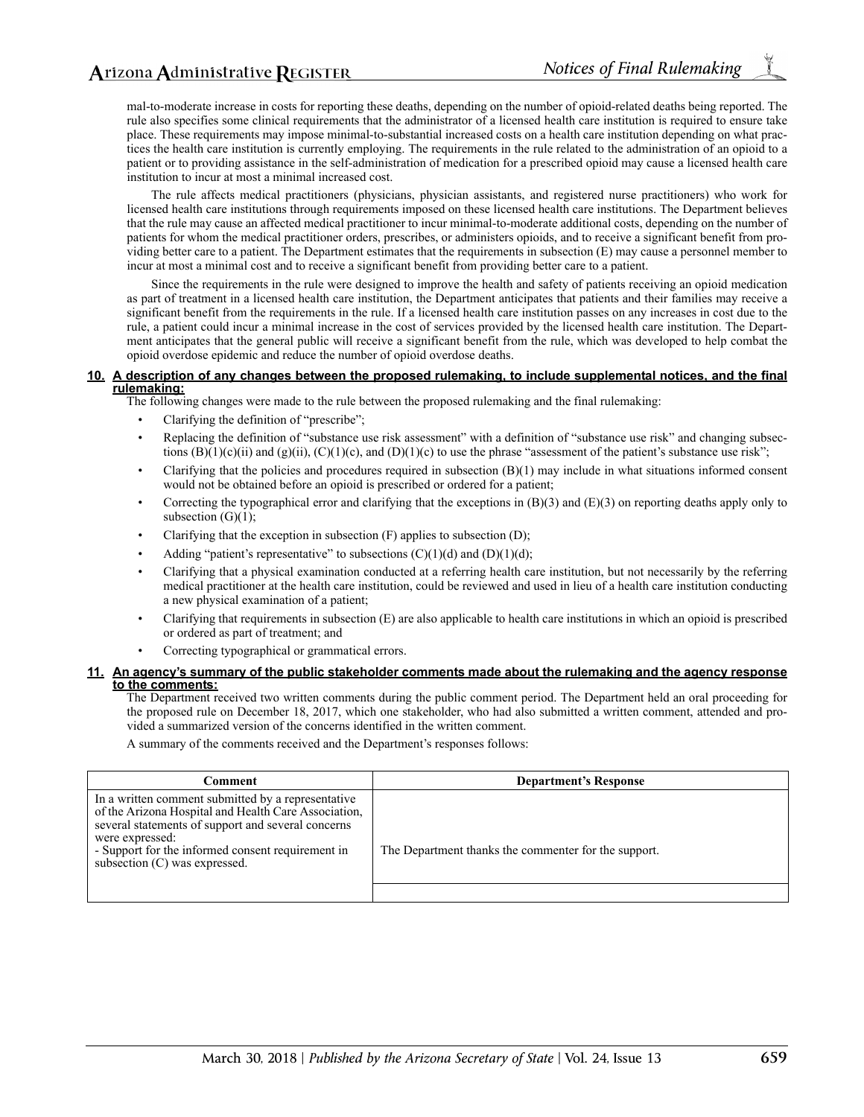mal-to-moderate increase in costs for reporting these deaths, depending on the number of opioid-related deaths being reported. The rule also specifies some clinical requirements that the administrator of a licensed health care institution is required to ensure take place. These requirements may impose minimal-to-substantial increased costs on a health care institution depending on what practices the health care institution is currently employing. The requirements in the rule related to the administration of an opioid to a patient or to providing assistance in the self-administration of medication for a prescribed opioid may cause a licensed health care institution to incur at most a minimal increased cost.

The rule affects medical practitioners (physicians, physician assistants, and registered nurse practitioners) who work for licensed health care institutions through requirements imposed on these licensed health care institutions. The Department believes that the rule may cause an affected medical practitioner to incur minimal-to-moderate additional costs, depending on the number of patients for whom the medical practitioner orders, prescribes, or administers opioids, and to receive a significant benefit from providing better care to a patient. The Department estimates that the requirements in subsection (E) may cause a personnel member to incur at most a minimal cost and to receive a significant benefit from providing better care to a patient.

Since the requirements in the rule were designed to improve the health and safety of patients receiving an opioid medication as part of treatment in a licensed health care institution, the Department anticipates that patients and their families may receive a significant benefit from the requirements in the rule. If a licensed health care institution passes on any increases in cost due to the rule, a patient could incur a minimal increase in the cost of services provided by the licensed health care institution. The Department anticipates that the general public will receive a significant benefit from the rule, which was developed to help combat the opioid overdose epidemic and reduce the number of opioid overdose deaths.

#### **10. A description of any changes between the proposed rulemaking, to include supplemental notices, and the final rulemaking:**

The following changes were made to the rule between the proposed rulemaking and the final rulemaking:

- Clarifying the definition of "prescribe";
- Replacing the definition of "substance use risk assessment" with a definition of "substance use risk" and changing subsections  $(B)(1)(c)(ii)$  and  $(g)(ii)$ ,  $(C)(1)(c)$ , and  $(D)(1)(c)$  to use the phrase "assessment of the patient's substance use risk";
- Clarifying that the policies and procedures required in subsection  $(B)(1)$  may include in what situations informed consent would not be obtained before an opioid is prescribed or ordered for a patient;
- Correcting the typographical error and clarifying that the exceptions in  $(B)(3)$  and  $(E)(3)$  on reporting deaths apply only to subsection  $(G)(1)$ ;
- Clarifying that the exception in subsection (F) applies to subsection (D);
- Adding "patient's representative" to subsections  $(C)(1)(d)$  and  $(D)(1)(d)$ ;
- Clarifying that a physical examination conducted at a referring health care institution, but not necessarily by the referring medical practitioner at the health care institution, could be reviewed and used in lieu of a health care institution conducting a new physical examination of a patient;
- Clarifying that requirements in subsection (E) are also applicable to health care institutions in which an opioid is prescribed or ordered as part of treatment; and
- Correcting typographical or grammatical errors.

### **11. An agency's summary of the public stakeholder comments made about the rulemaking and the agency response to the comments:**

The Department received two written comments during the public comment period. The Department held an oral proceeding for the proposed rule on December 18, 2017, which one stakeholder, who had also submitted a written comment, attended and provided a summarized version of the concerns identified in the written comment.

A summary of the comments received and the Department's responses follows:

| Comment                                                                                                                                                                                                                                                                   | <b>Department's Response</b>                         |
|---------------------------------------------------------------------------------------------------------------------------------------------------------------------------------------------------------------------------------------------------------------------------|------------------------------------------------------|
| In a written comment submitted by a representative<br>of the Arizona Hospital and Health Care Association,<br>several statements of support and several concerns<br>were expressed:<br>- Support for the informed consent requirement in<br>subsection (C) was expressed. | The Department thanks the commenter for the support. |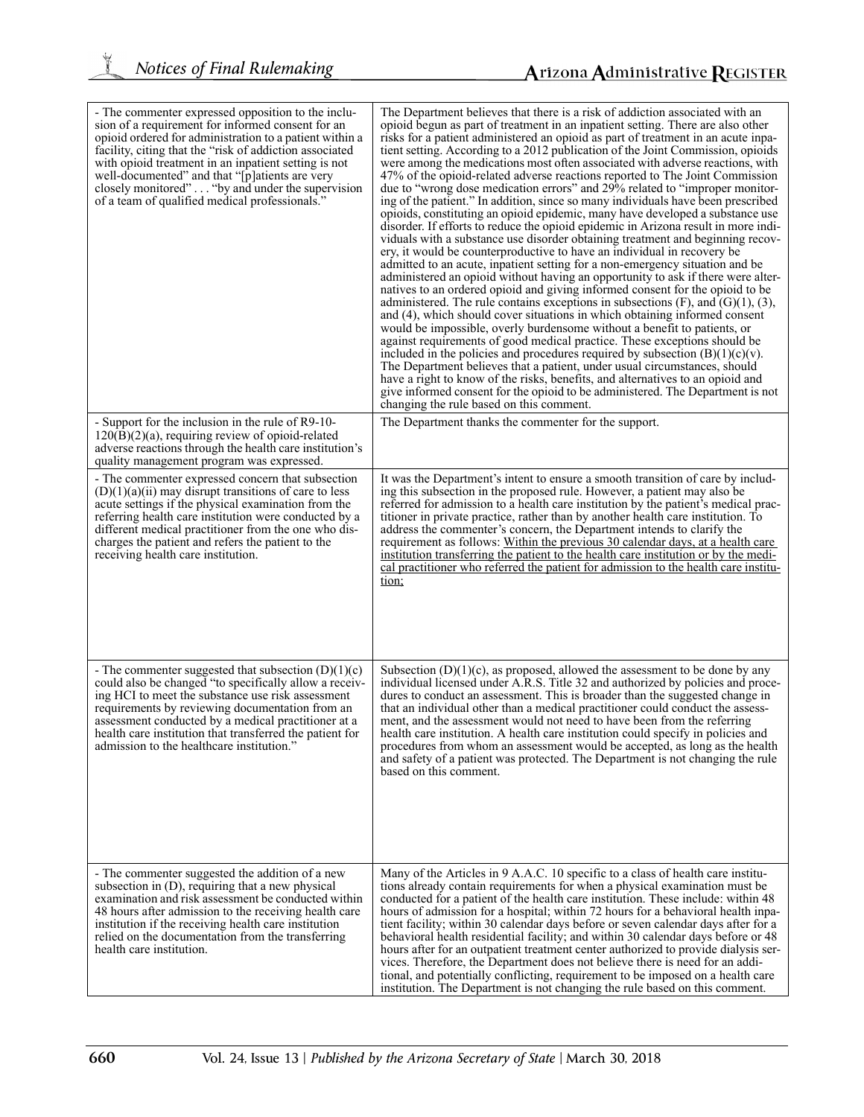$\frac{1}{2}$ 

| - The commenter expressed opposition to the inclu-<br>sion of a requirement for informed consent for an<br>opioid ordered for administration to a patient within a<br>facility, citing that the "risk of addiction associated<br>with opioid treatment in an inpatient setting is not<br>well-documented" and that "[p] atients are very<br>closely monitored" "by and under the supervision<br>of a team of qualified medical professionals." | The Department believes that there is a risk of addiction associated with an<br>opioid begun as part of treatment in an inpatient setting. There are also other<br>risks for a patient administered an opioid as part of treatment in an acute inpa-<br>tient setting. According to a 2012 publication of the Joint Commission, opioids<br>were among the medications most often associated with adverse reactions, with<br>47% of the opioid-related adverse reactions reported to The Joint Commission<br>due to "wrong dose medication errors" and 29% related to "improper monitor-<br>ing of the patient." In addition, since so many individuals have been prescribed<br>opioids, constituting an opioid epidemic, many have developed a substance use<br>disorder. If efforts to reduce the opioid epidemic in Arizona result in more indi-<br>viduals with a substance use disorder obtaining treatment and beginning recov-<br>ery, it would be counterproductive to have an individual in recovery be<br>admitted to an acute, inpatient setting for a non-emergency situation and be<br>administered an opioid without having an opportunity to ask if there were alter-<br>natives to an ordered opioid and giving informed consent for the opioid to be<br>administered. The rule contains exceptions in subsections $(F)$ , and $(G)(1)$ , $(3)$ ,<br>and (4), which should cover situations in which obtaining informed consent<br>would be impossible, overly burdensome without a benefit to patients, or<br>against requirements of good medical practice. These exceptions should be<br>included in the policies and procedures required by subsection $(B)(1)(c)(v)$ .<br>The Department believes that a patient, under usual circumstances, should<br>have a right to know of the risks, benefits, and alternatives to an opioid and<br>give informed consent for the opioid to be administered. The Department is not<br>changing the rule based on this comment. |
|------------------------------------------------------------------------------------------------------------------------------------------------------------------------------------------------------------------------------------------------------------------------------------------------------------------------------------------------------------------------------------------------------------------------------------------------|-----------------------------------------------------------------------------------------------------------------------------------------------------------------------------------------------------------------------------------------------------------------------------------------------------------------------------------------------------------------------------------------------------------------------------------------------------------------------------------------------------------------------------------------------------------------------------------------------------------------------------------------------------------------------------------------------------------------------------------------------------------------------------------------------------------------------------------------------------------------------------------------------------------------------------------------------------------------------------------------------------------------------------------------------------------------------------------------------------------------------------------------------------------------------------------------------------------------------------------------------------------------------------------------------------------------------------------------------------------------------------------------------------------------------------------------------------------------------------------------------------------------------------------------------------------------------------------------------------------------------------------------------------------------------------------------------------------------------------------------------------------------------------------------------------------------------------------------------------------------------------------------------------------------------------------------------------------------------------------------|
| - Support for the inclusion in the rule of R9-10-<br>$120(B)(2)(a)$ , requiring review of opioid-related<br>adverse reactions through the health care institution's<br>quality management program was expressed.                                                                                                                                                                                                                               | The Department thanks the commenter for the support.                                                                                                                                                                                                                                                                                                                                                                                                                                                                                                                                                                                                                                                                                                                                                                                                                                                                                                                                                                                                                                                                                                                                                                                                                                                                                                                                                                                                                                                                                                                                                                                                                                                                                                                                                                                                                                                                                                                                    |
| - The commenter expressed concern that subsection<br>$(D)(1)(a)(ii)$ may disrupt transitions of care to less<br>acute settings if the physical examination from the<br>referring health care institution were conducted by a<br>different medical practitioner from the one who dis-<br>charges the patient and refers the patient to the<br>receiving health care institution.                                                                | It was the Department's intent to ensure a smooth transition of care by includ-<br>ing this subsection in the proposed rule. However, a patient may also be<br>referred for admission to a health care institution by the patient's medical prac-<br>titioner in private practice, rather than by another health care institution. To<br>address the commenter's concern, the Department intends to clarify the<br>requirement as follows: Within the previous 30 calendar days, at a health care<br>institution transferring the patient to the health care institution or by the medi-<br>cal practitioner who referred the patient for admission to the health care institu-<br>tion;                                                                                                                                                                                                                                                                                                                                                                                                                                                                                                                                                                                                                                                                                                                                                                                                                                                                                                                                                                                                                                                                                                                                                                                                                                                                                                |
| - The commenter suggested that subsection $(D)(1)(c)$<br>could also be changed "to specifically allow a receiv-<br>ing HCI to meet the substance use risk assessment<br>requirements by reviewing documentation from an<br>assessment conducted by a medical practitioner at a<br>health care institution that transferred the patient for<br>admission to the healthcare institution."                                                        | Subsection $(D)(1)(c)$ , as proposed, allowed the assessment to be done by any<br>individual licensed under A.R.S. Title 32 and authorized by policies and proce-<br>dures to conduct an assessment. This is broader than the suggested change in<br>that an individual other than a medical practitioner could conduct the assess-<br>ment, and the assessment would not need to have been from the referring<br>health care institution. A health care institution could specify in policies and<br>procedures from whom an assessment would be accepted, as long as the health<br>and safety of a patient was protected. The Department is not changing the rule<br>based on this comment.                                                                                                                                                                                                                                                                                                                                                                                                                                                                                                                                                                                                                                                                                                                                                                                                                                                                                                                                                                                                                                                                                                                                                                                                                                                                                           |
| - The commenter suggested the addition of a new<br>subsection in (D), requiring that a new physical<br>examination and risk assessment be conducted within<br>48 hours after admission to the receiving health care<br>institution if the receiving health care institution<br>relied on the documentation from the transferring<br>health care institution.                                                                                   | Many of the Articles in 9 A.A.C. 10 specific to a class of health care institu-<br>tions already contain requirements for when a physical examination must be<br>conducted for a patient of the health care institution. These include: within 48<br>hours of admission for a hospital; within 72 hours for a behavioral health inpa-<br>tient facility; within 30 calendar days before or seven calendar days after for a<br>behavioral health residential facility; and within 30 calendar days before or 48<br>hours after for an outpatient treatment center authorized to provide dialysis ser-<br>vices. Therefore, the Department does not believe there is need for an addi-<br>tional, and potentially conflicting, requirement to be imposed on a health care<br>institution. The Department is not changing the rule based on this comment.                                                                                                                                                                                                                                                                                                                                                                                                                                                                                                                                                                                                                                                                                                                                                                                                                                                                                                                                                                                                                                                                                                                                  |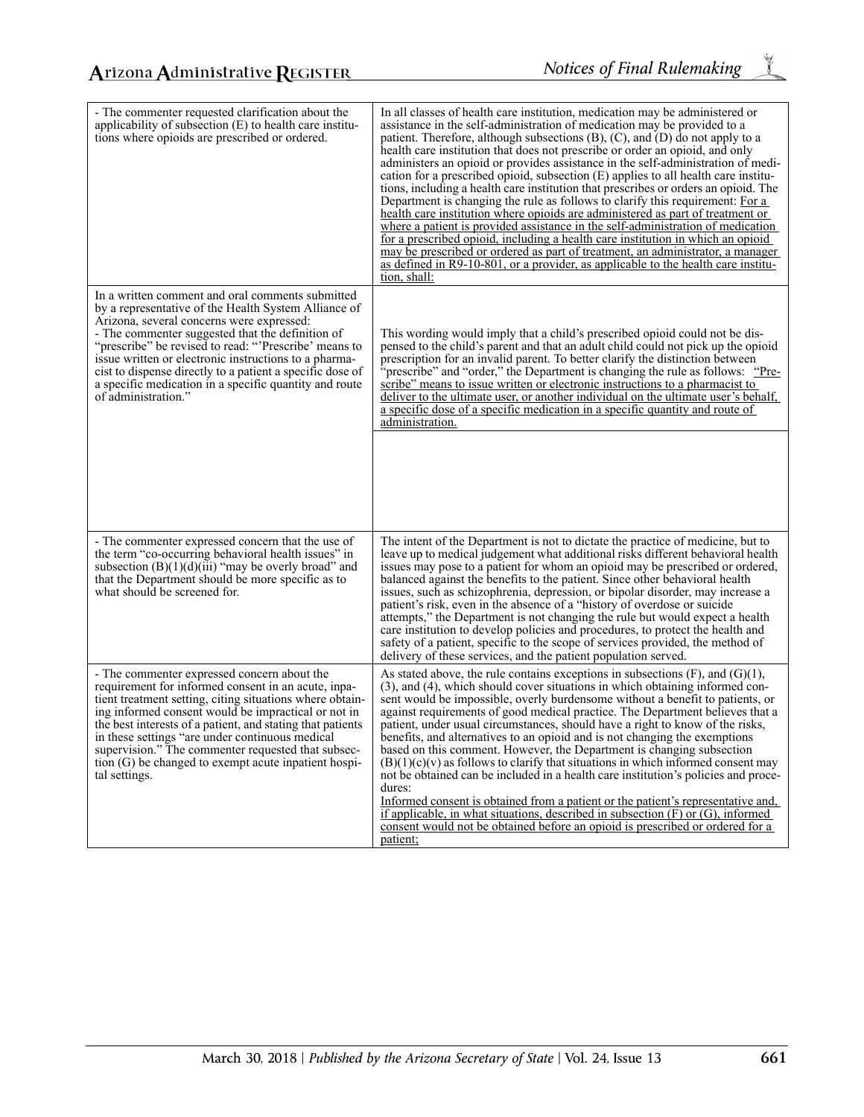| - The commenter requested clarification about the<br>applicability of subsection $(E)$ to health care institu-<br>tions where opioids are prescribed or ordered.                                                                                                                                                                                                                                                                                                         | In all classes of health care institution, medication may be administered or<br>assistance in the self-administration of medication may be provided to a<br>patient. Therefore, although subsections $(B)$ , $(C)$ , and $(D)$ do not apply to a<br>health care institution that does not prescribe or order an opioid, and only<br>administers an opioid or provides assistance in the self-administration of medi-<br>cation for a prescribed opioid, subsection $(E)$ applies to all health care institu-<br>tions, including a health care institution that prescribes or orders an opioid. The<br>Department is changing the rule as follows to clarify this requirement: For a<br>health care institution where opioids are administered as part of treatment or<br>where a patient is provided assistance in the self-administration of medication<br>for a prescribed opioid, including a health care institution in which an opioid<br>may be prescribed or ordered as part of treatment, an administrator, a manager<br>as defined in R9-10-801, or a provider, as applicable to the health care institu-<br>tion, shall: |
|--------------------------------------------------------------------------------------------------------------------------------------------------------------------------------------------------------------------------------------------------------------------------------------------------------------------------------------------------------------------------------------------------------------------------------------------------------------------------|-------------------------------------------------------------------------------------------------------------------------------------------------------------------------------------------------------------------------------------------------------------------------------------------------------------------------------------------------------------------------------------------------------------------------------------------------------------------------------------------------------------------------------------------------------------------------------------------------------------------------------------------------------------------------------------------------------------------------------------------------------------------------------------------------------------------------------------------------------------------------------------------------------------------------------------------------------------------------------------------------------------------------------------------------------------------------------------------------------------------------------------|
| In a written comment and oral comments submitted<br>by a representative of the Health System Alliance of<br>Arizona, several concerns were expressed:<br>- The commenter suggested that the definition of<br>"prescribe" be revised to read: "Prescribe' means to<br>issue written or electronic instructions to a pharma-<br>cist to dispense directly to a patient a specific dose of<br>a specific medication in a specific quantity and route<br>of administration." | This wording would imply that a child's prescribed opioid could not be dis-<br>pensed to the child's parent and that an adult child could not pick up the opioid<br>prescription for an invalid parent. To better clarify the distinction between<br>"prescribe" and "order," the Department is changing the rule as follows: "Pre-<br>scribe" means to issue written or electronic instructions to a pharmacist to<br>deliver to the ultimate user, or another individual on the ultimate user's behalf,<br>a specific dose of a specific medication in a specific quantity and route of<br>administration.                                                                                                                                                                                                                                                                                                                                                                                                                                                                                                                        |
|                                                                                                                                                                                                                                                                                                                                                                                                                                                                          |                                                                                                                                                                                                                                                                                                                                                                                                                                                                                                                                                                                                                                                                                                                                                                                                                                                                                                                                                                                                                                                                                                                                     |
| - The commenter expressed concern that the use of<br>the term "co-occurring behavioral health issues" in<br>subsection $(B)(1)(d)(iii)$ "may be overly broad" and<br>that the Department should be more specific as to<br>what should be screened for.                                                                                                                                                                                                                   | The intent of the Department is not to dictate the practice of medicine, but to<br>leave up to medical judgement what additional risks different behavioral health<br>issues may pose to a patient for whom an opioid may be prescribed or ordered,<br>balanced against the benefits to the patient. Since other behavioral health<br>issues, such as schizophrenia, depression, or bipolar disorder, may increase a<br>patient's risk, even in the absence of a "history of overdose or suicide"<br>attempts," the Department is not changing the rule but would expect a health<br>care institution to develop policies and procedures, to protect the health and<br>safety of a patient, specific to the scope of services provided, the method of<br>delivery of these services, and the patient population served.                                                                                                                                                                                                                                                                                                             |
| - The commenter expressed concern about the<br>requirement for informed consent in an acute, inpa-<br>tient treatment setting, citing situations where obtain-<br>ing informed consent would be impractical or not in<br>the best interests of a patient, and stating that patients<br>in these settings "are under continuous medical<br>supervision." The commenter requested that subsec-<br>tion (G) be changed to exempt acute inpatient hospi-<br>tal settings.    | As stated above, the rule contains exceptions in subsections $(F)$ , and $(G)(1)$ ,<br>(3), and (4), which should cover situations in which obtaining informed con-<br>sent would be impossible, overly burdensome without a benefit to patients, or<br>against requirements of good medical practice. The Department believes that a<br>patient, under usual circumstances, should have a right to know of the risks,<br>benefits, and alternatives to an opioid and is not changing the exemptions<br>based on this comment. However, the Department is changing subsection<br>$(B)(1)(c)(v)$ as follows to clarify that situations in which informed consent may<br>not be obtained can be included in a health care institution's policies and proce-<br>dures:<br>Informed consent is obtained from a patient or the patient's representative and,<br>if applicable, in what situations, described in subsection $(F)$ or $(G)$ , informed<br>consent would not be obtained before an opioid is prescribed or ordered for a<br>patient;                                                                                        |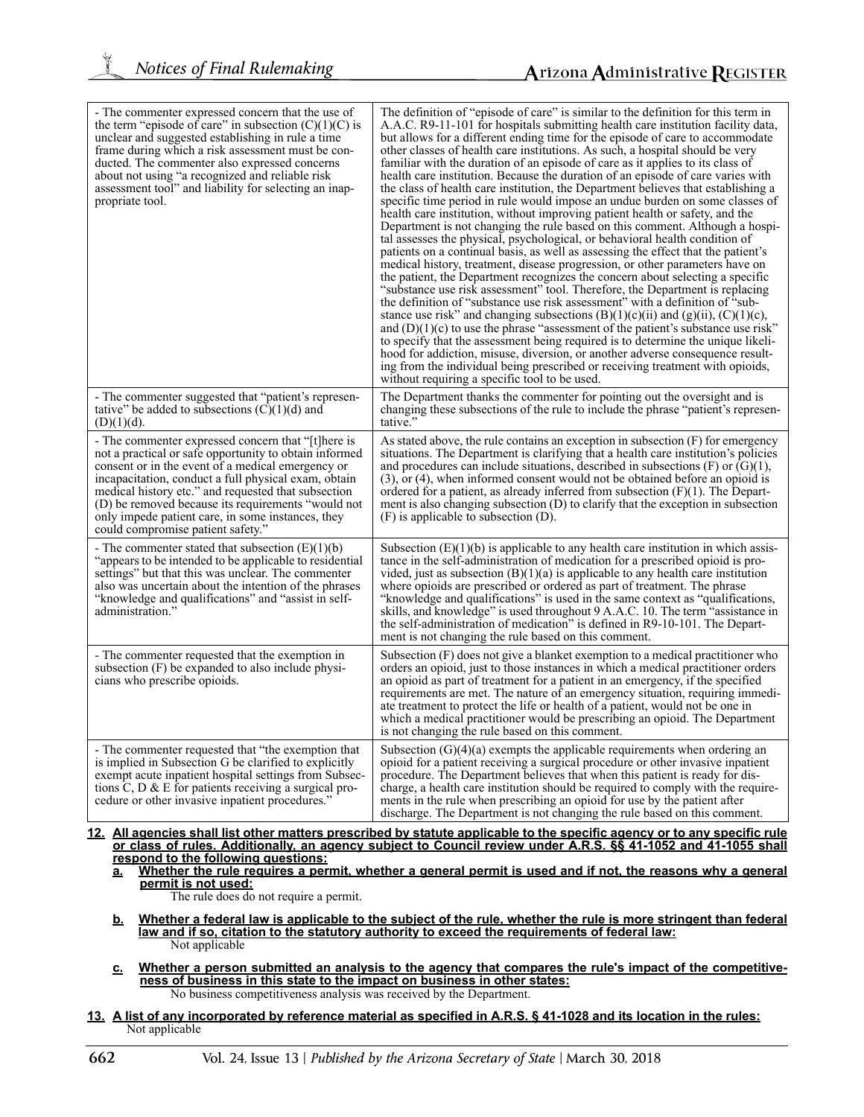| - The commenter expressed concern that the use of<br>the term "episode of care" in subsection $(C)(1)(C)$ is<br>unclear and suggested establishing in rule a time                                                                                                                                                                                                                                                                | The definition of "episode of care" is similar to the definition for this term in<br>A.A.C. R9-11-101 for hospitals submitting health care institution facility data,<br>but allows for a different ending time for the episode of care to accommodate                                                                                                                                                                                                                                                                                                                                                                                                                                                                                                                                                                                                                                                                                                                                                                                                                                                                                                                                                                                                                                                                                                                                                                                                                                                                              |
|----------------------------------------------------------------------------------------------------------------------------------------------------------------------------------------------------------------------------------------------------------------------------------------------------------------------------------------------------------------------------------------------------------------------------------|-------------------------------------------------------------------------------------------------------------------------------------------------------------------------------------------------------------------------------------------------------------------------------------------------------------------------------------------------------------------------------------------------------------------------------------------------------------------------------------------------------------------------------------------------------------------------------------------------------------------------------------------------------------------------------------------------------------------------------------------------------------------------------------------------------------------------------------------------------------------------------------------------------------------------------------------------------------------------------------------------------------------------------------------------------------------------------------------------------------------------------------------------------------------------------------------------------------------------------------------------------------------------------------------------------------------------------------------------------------------------------------------------------------------------------------------------------------------------------------------------------------------------------------|
| frame during which a risk assessment must be con-<br>ducted. The commenter also expressed concerns<br>about not using "a recognized and reliable risk<br>assessment tool" and liability for selecting an inap-<br>propriate tool.                                                                                                                                                                                                | other classes of health care institutions. As such, a hospital should be very<br>familiar with the duration of an episode of care as it applies to its class of<br>health care institution. Because the duration of an episode of care varies with<br>the class of health care institution, the Department believes that establishing a<br>specific time period in rule would impose an undue burden on some classes of<br>health care institution, without improving patient health or safety, and the<br>Department is not changing the rule based on this comment. Although a hospi-<br>tal assesses the physical, psychological, or behavioral health condition of<br>patients on a continual basis, as well as assessing the effect that the patient's<br>medical history, treatment, disease progression, or other parameters have on<br>the patient, the Department recognizes the concern about selecting a specific<br>"substance use risk assessment" tool. Therefore, the Department is replacing<br>the definition of "substance use risk assessment" with a definition of "sub-<br>stance use risk" and changing subsections $(B)(1)(c)(ii)$ and $(g)(ii)$ , $(C)(1)(c)$ ,<br>and $(D)(1)(c)$ to use the phrase "assessment of the patient's substance use risk"<br>to specify that the assessment being required is to determine the unique likeli-<br>hood for addiction, misuse, diversion, or another adverse consequence result-<br>ing from the individual being prescribed or receiving treatment with opioids, |
|                                                                                                                                                                                                                                                                                                                                                                                                                                  | without requiring a specific tool to be used.                                                                                                                                                                                                                                                                                                                                                                                                                                                                                                                                                                                                                                                                                                                                                                                                                                                                                                                                                                                                                                                                                                                                                                                                                                                                                                                                                                                                                                                                                       |
| - The commenter suggested that "patient's represen-<br>tative" be added to subsections $(C)(1)(d)$ and<br>$(D)(1)(d)$ .                                                                                                                                                                                                                                                                                                          | The Department thanks the commenter for pointing out the oversight and is<br>changing these subsections of the rule to include the phrase "patient's represen-<br>tative."                                                                                                                                                                                                                                                                                                                                                                                                                                                                                                                                                                                                                                                                                                                                                                                                                                                                                                                                                                                                                                                                                                                                                                                                                                                                                                                                                          |
| - The commenter expressed concern that " t here is<br>not a practical or safe opportunity to obtain informed<br>consent or in the event of a medical emergency or<br>incapacitation, conduct a full physical exam, obtain<br>medical history etc." and requested that subsection<br>(D) be removed because its requirements "would not<br>only impede patient care, in some instances, they<br>could compromise patient safety." | As stated above, the rule contains an exception in subsection $(F)$ for emergency<br>situations. The Department is clarifying that a health care institution's policies<br>and procedures can include situations, described in subsections $(F)$ or $(G)(1)$ ,<br>$(3)$ , or $(4)$ , when informed consent would not be obtained before an opioid is<br>ordered for a patient, as already inferred from subsection $(F)(1)$ . The Depart-<br>ment is also changing subsection $(D)$ to clarify that the exception in subsection<br>$(F)$ is applicable to subsection $(D)$ .                                                                                                                                                                                                                                                                                                                                                                                                                                                                                                                                                                                                                                                                                                                                                                                                                                                                                                                                                        |
| - The commenter stated that subsection $(E)(1)(b)$<br>"appears to be intended to be applicable to residential<br>settings" but that this was unclear. The commenter<br>also was uncertain about the intention of the phrases<br>"knowledge and qualifications" and "assist in self-<br>administration."                                                                                                                          | Subsection $(E)(1)(b)$ is applicable to any health care institution in which assis-<br>tance in the self-administration of medication for a prescribed opioid is pro-<br>vided, just as subsection $(B)(1)(a)$ is applicable to any health care institution<br>where opioids are prescribed or ordered as part of treatment. The phrase<br>"knowledge and qualifications" is used in the same context as "qualifications,<br>skills, and knowledge" is used throughout 9 A.A.C. 10. The term "assistance in<br>the self-administration of medication" is defined in R9-10-101. The Depart-<br>ment is not changing the rule based on this comment.                                                                                                                                                                                                                                                                                                                                                                                                                                                                                                                                                                                                                                                                                                                                                                                                                                                                                  |
| - The commenter requested that the exemption in<br>subsection (F) be expanded to also include physi-<br>cians who prescribe opioids.                                                                                                                                                                                                                                                                                             | Subsection $(F)$ does not give a blanket exemption to a medical practitioner who<br>orders an opioid, just to those instances in which a medical practitioner orders<br>an opioid as part of treatment for a patient in an emergency, if the specified<br>requirements are met. The nature of an emergency situation, requiring immedi-<br>ate treatment to protect the life or health of a patient, would not be one in<br>which a medical practitioner would be prescribing an opioid. The Department<br>is not changing the rule based on this comment.                                                                                                                                                                                                                                                                                                                                                                                                                                                                                                                                                                                                                                                                                                                                                                                                                                                                                                                                                                          |
| - The commenter requested that "the exemption that<br>is implied in Subsection G be clarified to explicitly<br>exempt acute inpatient hospital settings from Subsec-<br>tions C, D $\&$ E for patients receiving a surgical pro-<br>cedure or other invasive inpatient procedures."                                                                                                                                              | Subsection $(G)(4)(a)$ exempts the applicable requirements when ordering an<br>opioid for a patient receiving a surgical procedure or other invasive inpatient<br>procedure. The Department believes that when this patient is ready for dis-<br>charge, a health care institution should be required to comply with the require-<br>ments in the rule when prescribing an opioid for use by the patient after<br>discharge. The Department is not changing the rule based on this comment.                                                                                                                                                                                                                                                                                                                                                                                                                                                                                                                                                                                                                                                                                                                                                                                                                                                                                                                                                                                                                                         |
|                                                                                                                                                                                                                                                                                                                                                                                                                                  | 12. All agencies shall list other matters prescribed by statute applicable to the specific agency or to any specific rule<br>or class of rules. Additionally, an agency subject to Council review under A.R.S. §§ 41-1052 and 41-1055 shall                                                                                                                                                                                                                                                                                                                                                                                                                                                                                                                                                                                                                                                                                                                                                                                                                                                                                                                                                                                                                                                                                                                                                                                                                                                                                         |
| respond to the following questions:                                                                                                                                                                                                                                                                                                                                                                                              | Whathar the rule requires a permit whather a general permit is used and if not the reasons why a general                                                                                                                                                                                                                                                                                                                                                                                                                                                                                                                                                                                                                                                                                                                                                                                                                                                                                                                                                                                                                                                                                                                                                                                                                                                                                                                                                                                                                            |

**a. Whether the rule requires a permit, whether a general permit is used and if not, the reasons why a general permit is not used:**

The rule does do not require a permit.

- **b. Whether a federal law is applicable to the subject of the rule, whether the rule is more stringent than federal law and if so, citation to the statutory authority to exceed the requirements of federal law:** Not applicable
- **c. Whether a person submitted an analysis to the agency that compares the rule's impact of the competitiveness of business in this state to the impact on business in other states:** No business competitiveness analysis was received by the Department.
- **13. A list of any incorporated by reference material as specified in A.R.S. § 41-1028 and its location in the rules:** Not applicable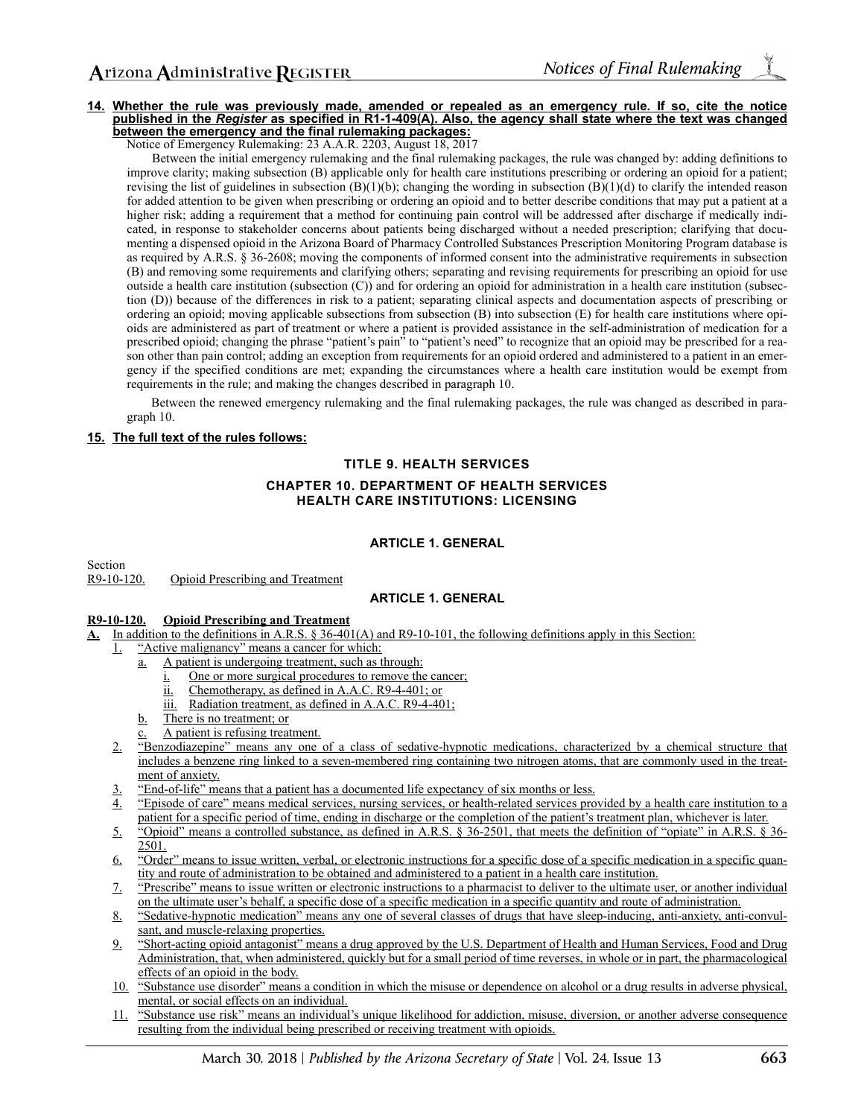#### **14. Whether the rule was previously made, amended or repealed as an emergency rule. If so, cite the notice published in the** *Register* **as specified in R1-1-409(A). Also, the agency shall state where the text was changed between the emergency and the final rulemaking packages:**

Notice of Emergency Rulemaking: 23 A.A.R. 2203, August 18, 2017

Between the initial emergency rulemaking and the final rulemaking packages, the rule was changed by: adding definitions to improve clarity; making subsection (B) applicable only for health care institutions prescribing or ordering an opioid for a patient; revising the list of guidelines in subsection  $(B)(1)(b)$ ; changing the wording in subsection  $(B)(1)(d)$  to clarify the intended reason for added attention to be given when prescribing or ordering an opioid and to better describe conditions that may put a patient at a higher risk; adding a requirement that a method for continuing pain control will be addressed after discharge if medically indicated, in response to stakeholder concerns about patients being discharged without a needed prescription; clarifying that documenting a dispensed opioid in the Arizona Board of Pharmacy Controlled Substances Prescription Monitoring Program database is as required by A.R.S. § 36-2608; moving the components of informed consent into the administrative requirements in subsection (B) and removing some requirements and clarifying others; separating and revising requirements for prescribing an opioid for use outside a health care institution (subsection (C)) and for ordering an opioid for administration in a health care institution (subsection (D)) because of the differences in risk to a patient; separating clinical aspects and documentation aspects of prescribing or ordering an opioid; moving applicable subsections from subsection (B) into subsection (E) for health care institutions where opioids are administered as part of treatment or where a patient is provided assistance in the self-administration of medication for a prescribed opioid; changing the phrase "patient's pain" to "patient's need" to recognize that an opioid may be prescribed for a reason other than pain control; adding an exception from requirements for an opioid ordered and administered to a patient in an emergency if the specified conditions are met; expanding the circumstances where a health care institution would be exempt from requirements in the rule; and making the changes described in paragraph 10.

Between the renewed emergency rulemaking and the final rulemaking packages, the rule was changed as described in paragraph 10.

### **15. The full text of the rules follows:**

# **TITLE 9. HEALTH SERVICES CHAPTER 10. DEPARTMENT OF HEALTH SERVICES HEALTH CARE INSTITUTIONS: LICENSING**

### **ARTICLE 1. GENERAL**

Section<br> $R9-10-120$ . Opioid Prescribing and Treatment

## **ARTICLE 1. GENERAL**

### **R9-10-120. Opioid Prescribing and Treatment**

- **A.** In addition to the definitions in A.R.S. § 36-401(A) and R9-10-101, the following definitions apply in this Section:
	- 1. "Active malignancy" means a cancer for which:
		- a. A patient is undergoing treatment, such as through:
			- i. One or more surgical procedures to remove the cancer;
			- ii. Chemotherapy, as defined in A.A.C. R9-4-401; or
			- iii. Radiation treatment, as defined in A.A.C. R9-4-401;
		- b. There is no treatment; or
		- A patient is refusing treatment.
		- 2. "Benzodiazepine" means any one of a class of sedative-hypnotic medications, characterized by a chemical structure that includes a benzene ring linked to a seven-membered ring containing two nitrogen atoms, that are commonly used in the treatment of anxiety.
		- 3. "End-of-life" means that a patient has a documented life expectancy of six months or less.
		- 4. "Episode of care" means medical services, nursing services, or health-related services provided by a health care institution to a patient for a specific period of time, ending in discharge or the completion of the patient's treatment plan, whichever is later.
		- 5. "Opioid" means a controlled substance, as defined in A.R.S. § 36-2501, that meets the definition of "opiate" in A.R.S. § 36- 2501.
		- 6. "Order" means to issue written, verbal, or electronic instructions for a specific dose of a specific medication in a specific quantity and route of administration to be obtained and administered to a patient in a health care institution.
		- 7. "Prescribe" means to issue written or electronic instructions to a pharmacist to deliver to the ultimate user, or another individual on the ultimate user's behalf, a specific dose of a specific medication in a specific quantity and route of administration.
		- 8. "Sedative-hypnotic medication" means any one of several classes of drugs that have sleep-inducing, anti-anxiety, anti-convulsant, and muscle-relaxing properties.
		- 9. "Short-acting opioid antagonist" means a drug approved by the U.S. Department of Health and Human Services, Food and Drug Administration, that, when administered, quickly but for a small period of time reverses, in whole or in part, the pharmacological effects of an opioid in the body.
		- 10. "Substance use disorder" means a condition in which the misuse or dependence on alcohol or a drug results in adverse physical, mental, or social effects on an individual.
		- 11. "Substance use risk" means an individual's unique likelihood for addiction, misuse, diversion, or another adverse consequence resulting from the individual being prescribed or receiving treatment with opioids.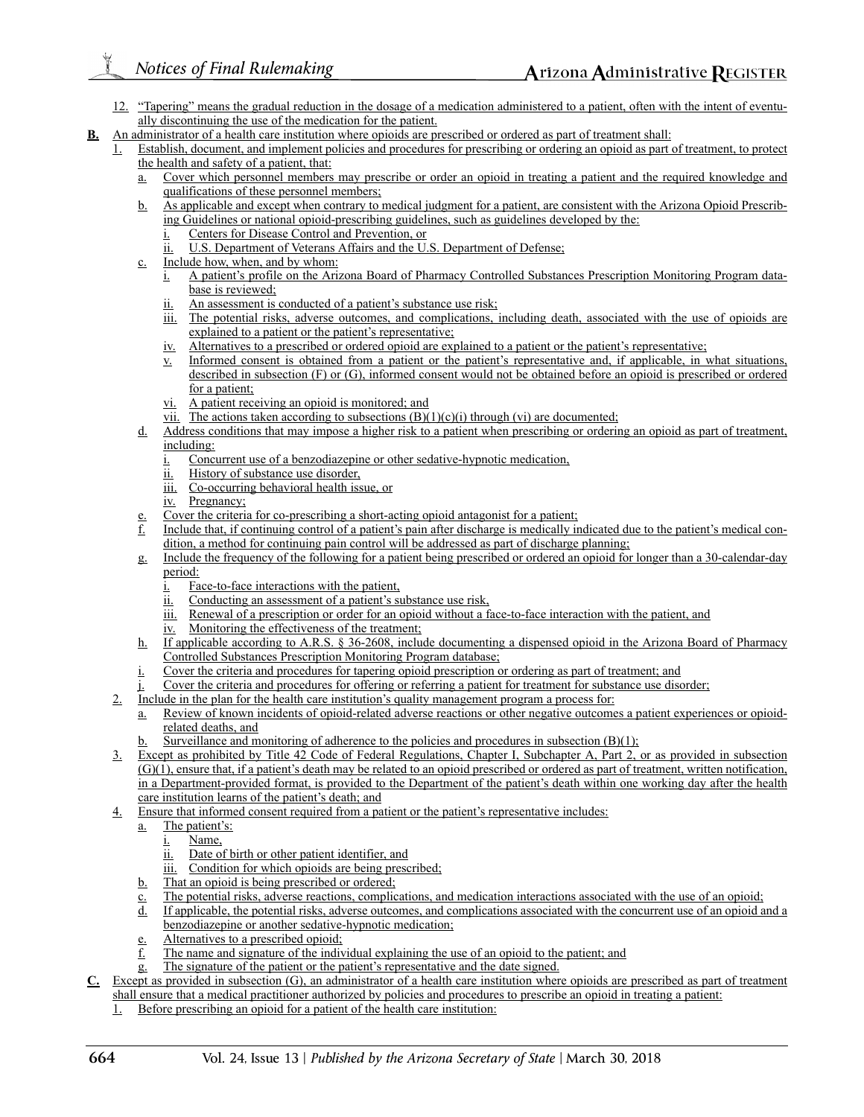- 12. "Tapering" means the gradual reduction in the dosage of a medication administered to a patient, often with the intent of eventually discontinuing the use of the medication for the patient.
- **B.** An administrator of a health care institution where opioids are prescribed or ordered as part of treatment shall:
	- 1. Establish, document, and implement policies and procedures for prescribing or ordering an opioid as part of treatment, to protect the health and safety of a patient, that:
		- a. Cover which personnel members may prescribe or order an opioid in treating a patient and the required knowledge and qualifications of these personnel members;
		- b. As applicable and except when contrary to medical judgment for a patient, are consistent with the Arizona Opioid Prescribing Guidelines or national opioid-prescribing guidelines, such as guidelines developed by the:
			- i. Centers for Disease Control and Prevention, or
			- $\underline{\text{ii.}}$  U.S. Department of Veterans Affairs and the U.S. Department of Defense;
		- c. Include how, when, and by whom:
			- i. A patient's profile on the Arizona Board of Pharmacy Controlled Substances Prescription Monitoring Program database is reviewed;
			- ii. An assessment is conducted of a patient's substance use risk;
			- iii. The potential risks, adverse outcomes, and complications, including death, associated with the use of opioids are explained to a patient or the patient's representative;
			- iv. Alternatives to a prescribed or ordered opioid are explained to a patient or the patient's representative;
			- v. Informed consent is obtained from a patient or the patient's representative and, if applicable, in what situations, described in subsection (F) or (G), informed consent would not be obtained before an opioid is prescribed or ordered for a patient;
			- vi. A patient receiving an opioid is monitored; and
			- vii. The actions taken according to subsections  $(B)(1)(c)(i)$  through (vi) are documented;
		- d. Address conditions that may impose a higher risk to a patient when prescribing or ordering an opioid as part of treatment, including:
			- Concurrent use of a benzodiazepine or other sedative-hypnotic medication,
			- ii. History of substance use disorder,
			- iii. Co-occurring behavioral health issue, or
			- iv. Pregnancy;
		- Cover the criteria for co-prescribing a short-acting opioid antagonist for a patient;
		- Include that, if continuing control of a patient's pain after discharge is medically indicated due to the patient's medical condition, a method for continuing pain control will be addressed as part of discharge planning;
		- g. Include the frequency of the following for a patient being prescribed or ordered an opioid for longer than a 30-calendar-day period:
			- Face-to-face interactions with the patient,
			- ii. Conducting an assessment of a patient's substance use risk,
			- iii. Renewal of a prescription or order for an opioid without a face-to-face interaction with the patient, and
			- iv. Monitoring the effectiveness of the treatment;
		- h. If applicable according to A.R.S. § 36-2608, include documenting a dispensed opioid in the Arizona Board of Pharmacy Controlled Substances Prescription Monitoring Program database;
		- Cover the criteria and procedures for tapering opioid prescription or ordering as part of treatment; and
		- Cover the criteria and procedures for offering or referring a patient for treatment for substance use disorder;
	- 2. Include in the plan for the health care institution's quality management program a process for:
		- a. Review of known incidents of opioid-related adverse reactions or other negative outcomes a patient experiences or opioidrelated deaths, and
		- Surveillance and monitoring of adherence to the policies and procedures in subsection  $(B)(1)$ ;
	- 3. Except as prohibited by Title 42 Code of Federal Regulations, Chapter I, Subchapter A, Part 2, or as provided in subsection (G)(1), ensure that, if a patient's death may be related to an opioid prescribed or ordered as part of treatment, written notification, in a Department-provided format, is provided to the Department of the patient's death within one working day after the health care institution learns of the patient's death; and
	- 4. Ensure that informed consent required from a patient or the patient's representative includes:
		- a. The patient's:
			- i. Name,
			- ii. Date of birth or other patient identifier, and
			- iii. Condition for which opioids are being prescribed;
		- b. That an opioid is being prescribed or ordered;
		- c. The potential risks, adverse reactions, complications, and medication interactions associated with the use of an opioid;
		- d. If applicable, the potential risks, adverse outcomes, and complications associated with the concurrent use of an opioid and a benzodiazepine or another sedative-hypnotic medication;
		- e. Alternatives to a prescribed opioid;
		- f. The name and signature of the individual explaining the use of an opioid to the patient; and
		- g. The signature of the patient or the patient's representative and the date signed.
- **C.** Except as provided in subsection (G), an administrator of a health care institution where opioids are prescribed as part of treatment shall ensure that a medical practitioner authorized by policies and procedures to prescribe an opioid in treating a patient:
	- Before prescribing an opioid for a patient of the health care institution: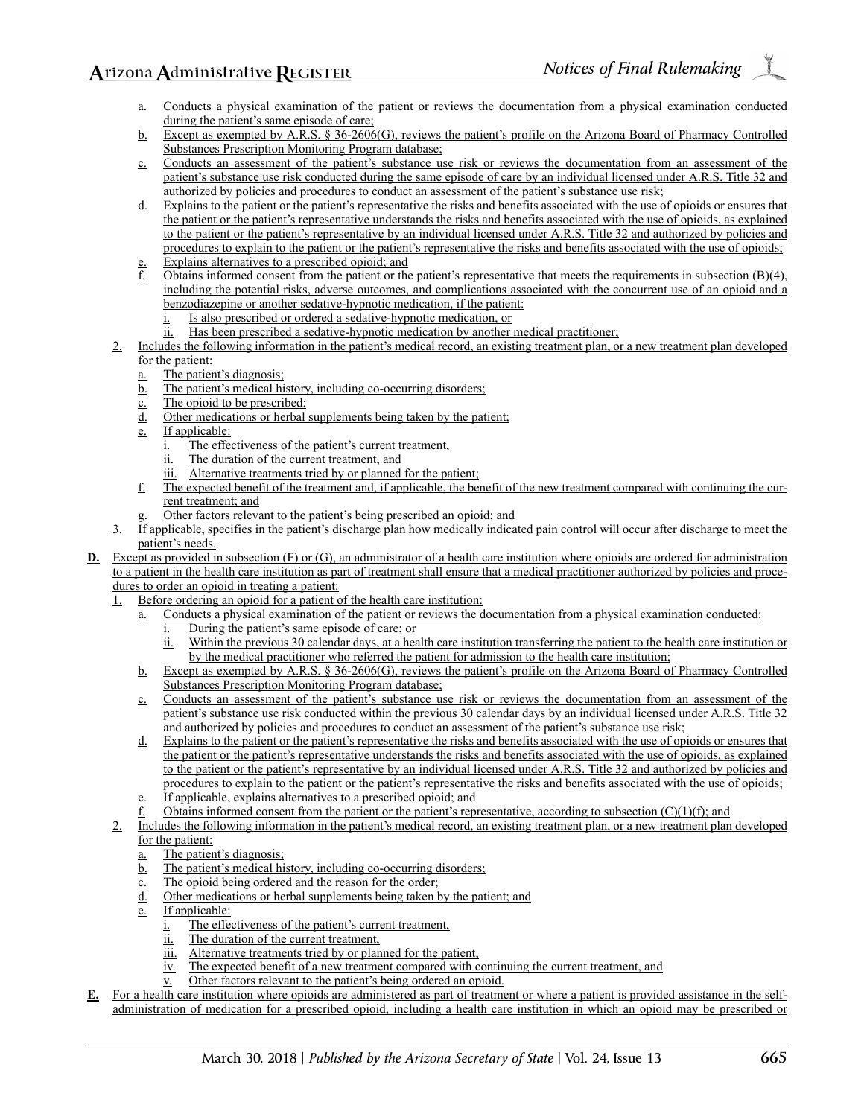- Conducts a physical examination of the patient or reviews the documentation from a physical examination conducted during the patient's same episode of care;
- b. Except as exempted by A.R.S. § 36-2606(G), reviews the patient's profile on the Arizona Board of Pharmacy Controlled Substances Prescription Monitoring Program database;
- c. Conducts an assessment of the patient's substance use risk or reviews the documentation from an assessment of the patient's substance use risk conducted during the same episode of care by an individual licensed under A.R.S. Title 32 and authorized by policies and procedures to conduct an assessment of the patient's substance use risk;
- d. Explains to the patient or the patient's representative the risks and benefits associated with the use of opioids or ensures that the patient or the patient's representative understands the risks and benefits associated with the use of opioids, as explained to the patient or the patient's representative by an individual licensed under A.R.S. Title 32 and authorized by policies and procedures to explain to the patient or the patient's representative the risks and benefits associated with the use of opioids;
- Explains alternatives to a prescribed opioid; and
- Obtains informed consent from the patient or the patient's representative that meets the requirements in subsection  $(B)(4)$ , including the potential risks, adverse outcomes, and complications associated with the concurrent use of an opioid and a benzodiazepine or another sedative-hypnotic medication, if the patient:
	- Is also prescribed or ordered a sedative-hypnotic medication, or
	- ii. Has been prescribed a sedative-hypnotic medication by another medical practitioner;
- 2. Includes the following information in the patient's medical record, an existing treatment plan, or a new treatment plan developed for the patient:
	- a. The patient's diagnosis;
	- b. The patient's medical history, including co-occurring disorders;
	- c. The opioid to be prescribed;
	- d. Other medications or herbal supplements being taken by the patient;
	- e. If applicable:
		- i. The effectiveness of the patient's current treatment,
		- ii. The duration of the current treatment, and
		- iii. Alternative treatments tried by or planned for the patient;
	- f. The expected benefit of the treatment and, if applicable, the benefit of the new treatment compared with continuing the current treatment; and
	- Other factors relevant to the patient's being prescribed an opioid; and
- 3. If applicable, specifies in the patient's discharge plan how medically indicated pain control will occur after discharge to meet the patient's needs.
- **D.** Except as provided in subsection (F) or (G), an administrator of a health care institution where opioids are ordered for administration to a patient in the health care institution as part of treatment shall ensure that a medical practitioner authorized by policies and procedures to order an opioid in treating a patient:
	- 1. Before ordering an opioid for a patient of the health care institution:
		- a. Conducts a physical examination of the patient or reviews the documentation from a physical examination conducted:
			- i. During the patient's same episode of care; or
			- ii. Within the previous 30 calendar days, at a health care institution transferring the patient to the health care institution or by the medical practitioner who referred the patient for admission to the health care institution;
		- b. Except as exempted by A.R.S. § 36-2606(G), reviews the patient's profile on the Arizona Board of Pharmacy Controlled Substances Prescription Monitoring Program database;
		- c. Conducts an assessment of the patient's substance use risk or reviews the documentation from an assessment of the patient's substance use risk conducted within the previous 30 calendar days by an individual licensed under A.R.S. Title 32 and authorized by policies and procedures to conduct an assessment of the patient's substance use risk;
		- d. Explains to the patient or the patient's representative the risks and benefits associated with the use of opioids or ensures that the patient or the patient's representative understands the risks and benefits associated with the use of opioids, as explained to the patient or the patient's representative by an individual licensed under A.R.S. Title 32 and authorized by policies and procedures to explain to the patient or the patient's representative the risks and benefits associated with the use of opioids;
		- If applicable, explains alternatives to a prescribed opioid; and
		- Obtains informed consent from the patient or the patient's representative, according to subsection  $(C)(1)(f)$ ; and
	- 2. Includes the following information in the patient's medical record, an existing treatment plan, or a new treatment plan developed for the patient:
		- The patient's diagnosis;
		- b. The patient's medical history, including co-occurring disorders;
		- c. The opioid being ordered and the reason for the order;
		- d. Other medications or herbal supplements being taken by the patient; and
		- e. If applicable:
			- i. The effectiveness of the patient's current treatment,
			- ii. The duration of the current treatment,
			- iii. Alternative treatments tried by or planned for the patient,
			- iv. The expected benefit of a new treatment compared with continuing the current treatment, and
			- v. Other factors relevant to the patient's being ordered an opioid.
- **E.** For a health care institution where opioids are administered as part of treatment or where a patient is provided assistance in the selfadministration of medication for a prescribed opioid, including a health care institution in which an opioid may be prescribed or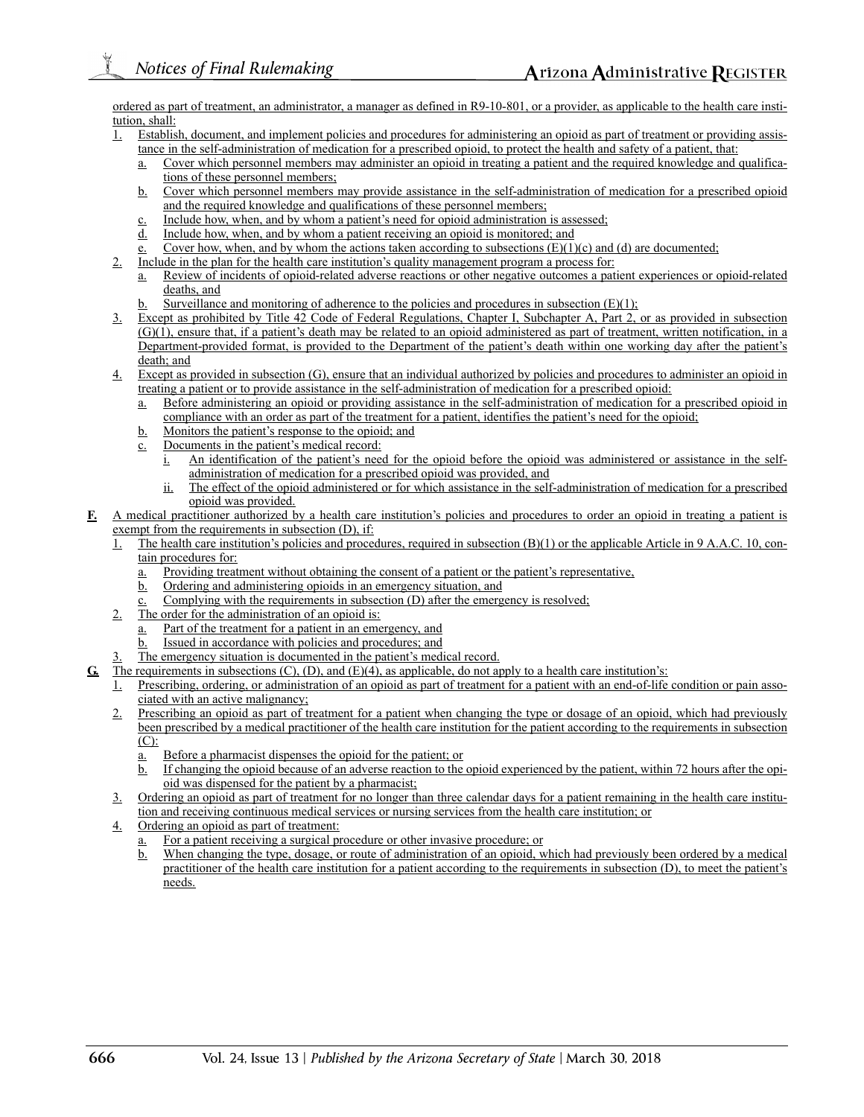ordered as part of treatment, an administrator, a manager as defined in R9-10-801, or a provider, as applicable to the health care institution, shall:

- 1. Establish, document, and implement policies and procedures for administering an opioid as part of treatment or providing assistance in the self-administration of medication for a prescribed opioid, to protect the health and safety of a patient, that:
	- a. Cover which personnel members may administer an opioid in treating a patient and the required knowledge and qualifications of these personnel members;
	- b. Cover which personnel members may provide assistance in the self-administration of medication for a prescribed opioid and the required knowledge and qualifications of these personnel members;
	- c. Include how, when, and by whom a patient's need for opioid administration is assessed;
	- Include how, when, and by whom a patient receiving an opioid is monitored; and
	- Cover how, when, and by whom the actions taken according to subsections  $(E)(1)(c)$  and (d) are documented;
- 2. Include in the plan for the health care institution's quality management program a process for:
	- a. Review of incidents of opioid-related adverse reactions or other negative outcomes a patient experiences or opioid-related deaths, and
	- Surveillance and monitoring of adherence to the policies and procedures in subsection  $(E)(1)$ ;
- 3. Except as prohibited by Title 42 Code of Federal Regulations, Chapter I, Subchapter A, Part 2, or as provided in subsection (G)(1), ensure that, if a patient's death may be related to an opioid administered as part of treatment, written notification, in a Department-provided format, is provided to the Department of the patient's death within one working day after the patient's death; and
- 4. Except as provided in subsection (G), ensure that an individual authorized by policies and procedures to administer an opioid in treating a patient or to provide assistance in the self-administration of medication for a prescribed opioid:
	- a. Before administering an opioid or providing assistance in the self-administration of medication for a prescribed opioid in compliance with an order as part of the treatment for a patient, identifies the patient's need for the opioid;
	- b. Monitors the patient's response to the opioid; and
	- Documents in the patient's medical record:
		- An identification of the patient's need for the opioid before the opioid was administered or assistance in the selfadministration of medication for a prescribed opioid was provided, and
		- ii. The effect of the opioid administered or for which assistance in the self-administration of medication for a prescribed opioid was provided.
- **F.** A medical practitioner authorized by a health care institution's policies and procedures to order an opioid in treating a patient is exempt from the requirements in subsection (D), if:
	- 1. The health care institution's policies and procedures, required in subsection (B)(1) or the applicable Article in 9 A.A.C. 10, contain procedures for:
		- a. Providing treatment without obtaining the consent of a patient or the patient's representative,
		- b. Ordering and administering opioids in an emergency situation, and
		- Complying with the requirements in subsection (D) after the emergency is resolved;
	- 2. The order for the administration of an opioid is:
		- a. Part of the treatment for a patient in an emergency, and
		- b. Issued in accordance with policies and procedures; and
		- The emergency situation is documented in the patient's medical record.
- **G.** The requirements in subsections (C), (D), and (E)(4), as applicable, do not apply to a health care institution's:
	- 1. Prescribing, ordering, or administration of an opioid as part of treatment for a patient with an end-of-life condition or pain associated with an active malignancy;
	- 2. Prescribing an opioid as part of treatment for a patient when changing the type or dosage of an opioid, which had previously been prescribed by a medical practitioner of the health care institution for the patient according to the requirements in subsection  $(C)$ :
		- a. Before a pharmacist dispenses the opioid for the patient; or
		- b. If changing the opioid because of an adverse reaction to the opioid experienced by the patient, within 72 hours after the opioid was dispensed for the patient by a pharmacist;
	- 3. Ordering an opioid as part of treatment for no longer than three calendar days for a patient remaining in the health care institution and receiving continuous medical services or nursing services from the health care institution; or
	- 4. Ordering an opioid as part of treatment:
		- For a patient receiving a surgical procedure or other invasive procedure; or
		- b. When changing the type, dosage, or route of administration of an opioid, which had previously been ordered by a medical practitioner of the health care institution for a patient according to the requirements in subsection (D), to meet the patient's needs.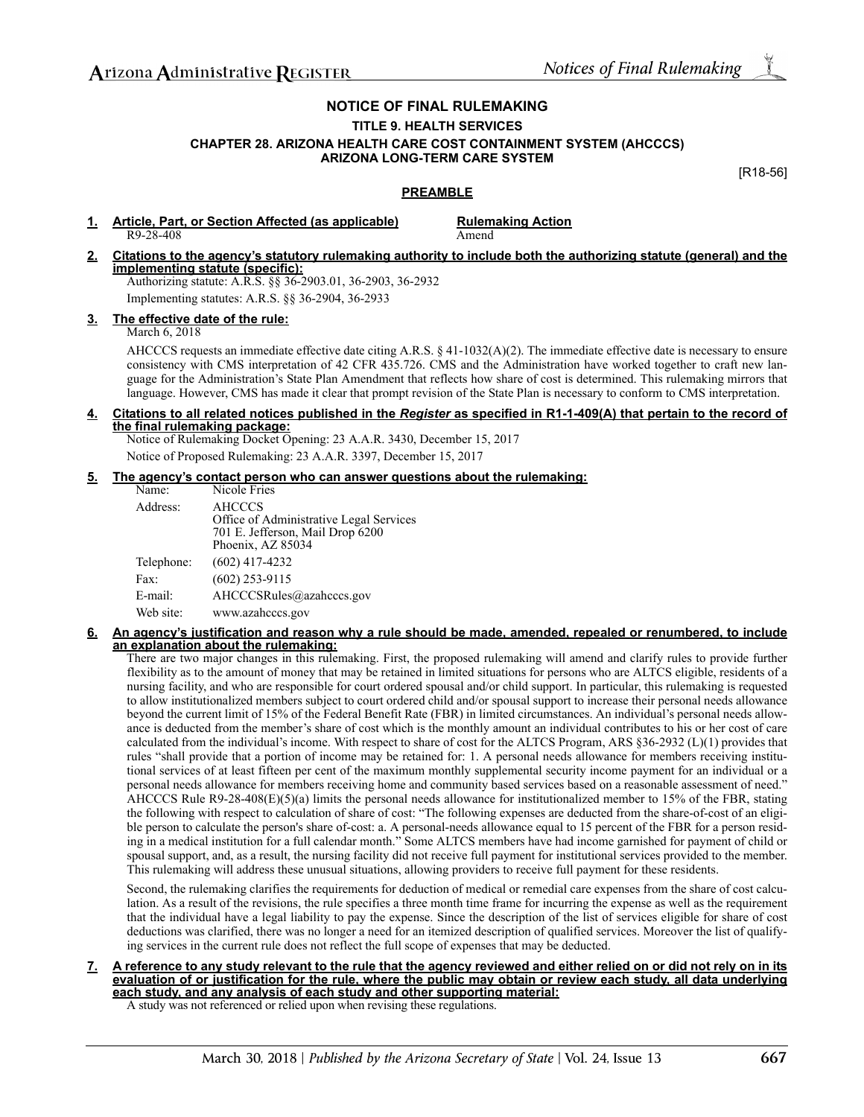## **NOTICE OF FINAL RULEMAKING TITLE 9. HEALTH SERVICES**

## **CHAPTER 28. ARIZONA HEALTH CARE COST CONTAINMENT SYSTEM (AHCCCS) ARIZONA LONG-TERM CARE SYSTEM**

[R18-56]

## **PREAMBLE**

- **1. Article, Part, or Section Affected (as applicable) Rulemaking Action R9-28-408** R9-28-408
- **2. Citations to the agency's statutory rulemaking authority to include both the authorizing statute (general) and the implementing statute (specific):** Authorizing statute: A.R.S. §§ 36-2903.01, 36-2903, 36-2932

Implementing statutes: A.R.S. §§ 36-2904, 36-2933

### **3. The effective date of the rule:**

March 6, 2018

AHCCCS requests an immediate effective date citing A.R.S. § 41-1032(A)(2). The immediate effective date is necessary to ensure consistency with CMS interpretation of 42 CFR 435.726. CMS and the Administration have worked together to craft new language for the Administration's State Plan Amendment that reflects how share of cost is determined. This rulemaking mirrors that language. However, CMS has made it clear that prompt revision of the State Plan is necessary to conform to CMS interpretation.

#### **4. Citations to all related notices published in the** *Register* **as specified in R1-1-409(A) that pertain to the record of the final rulemaking package:**

Notice of Rulemaking Docket Opening: 23 A.A.R. 3430, December 15, 2017 Notice of Proposed Rulemaking: 23 A.A.R. 3397, December 15, 2017

### **5. The agency's contact person who can answer questions about the rulemaking:**

| Name:      | Nicole Fries                                                                                                      |
|------------|-------------------------------------------------------------------------------------------------------------------|
| Address:   | <b>AHCCCS</b><br>Office of Administrative Legal Services<br>701 E. Jefferson, Mail Drop 6200<br>Phoenix, AZ 85034 |
| Telephone: | $(602)$ 417-4232                                                                                                  |
| Fax:       | $(602)$ 253-9115                                                                                                  |
| E-mail:    | AHCCCSRules@azahcccs.gov                                                                                          |
| Web site:  | www.azahcccs.gov                                                                                                  |

#### **6. An agency's justification and reason why a rule should be made, amended, repealed or renumbered, to include an explanation about the rulemaking:**

There are two major changes in this rulemaking. First, the proposed rulemaking will amend and clarify rules to provide further flexibility as to the amount of money that may be retained in limited situations for persons who are ALTCS eligible, residents of a nursing facility, and who are responsible for court ordered spousal and/or child support. In particular, this rulemaking is requested to allow institutionalized members subject to court ordered child and/or spousal support to increase their personal needs allowance beyond the current limit of 15% of the Federal Benefit Rate (FBR) in limited circumstances. An individual's personal needs allowance is deducted from the member's share of cost which is the monthly amount an individual contributes to his or her cost of care calculated from the individual's income. With respect to share of cost for the ALTCS Program, ARS §36-2932 (L)(1) provides that rules "shall provide that a portion of income may be retained for: 1. A personal needs allowance for members receiving institutional services of at least fifteen per cent of the maximum monthly supplemental security income payment for an individual or a personal needs allowance for members receiving home and community based services based on a reasonable assessment of need." AHCCCS Rule R9-28-408(E)(5)(a) limits the personal needs allowance for institutionalized member to 15% of the FBR, stating the following with respect to calculation of share of cost: "The following expenses are deducted from the share-of-cost of an eligible person to calculate the person's share of-cost: a. A personal-needs allowance equal to 15 percent of the FBR for a person residing in a medical institution for a full calendar month." Some ALTCS members have had income garnished for payment of child or spousal support, and, as a result, the nursing facility did not receive full payment for institutional services provided to the member. This rulemaking will address these unusual situations, allowing providers to receive full payment for these residents.

Second, the rulemaking clarifies the requirements for deduction of medical or remedial care expenses from the share of cost calculation. As a result of the revisions, the rule specifies a three month time frame for incurring the expense as well as the requirement that the individual have a legal liability to pay the expense. Since the description of the list of services eligible for share of cost deductions was clarified, there was no longer a need for an itemized description of qualified services. Moreover the list of qualifying services in the current rule does not reflect the full scope of expenses that may be deducted.

**7. A reference to any study relevant to the rule that the agency reviewed and either relied on or did not rely on in its evaluation of or justification for the rule, where the public may obtain or review each study, all data underlying each study, and any analysis of each study and other supporting material:**

A study was not referenced or relied upon when revising these regulations.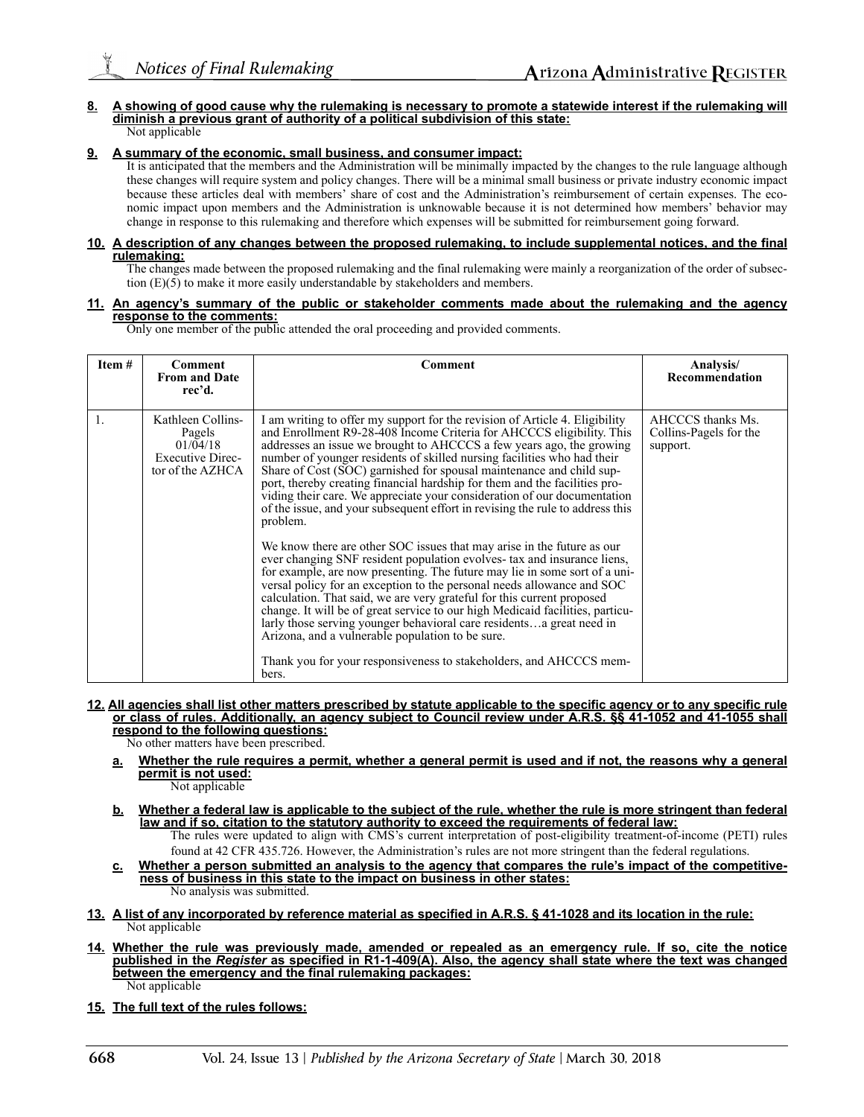#### **8. A showing of good cause why the rulemaking is necessary to promote a statewide interest if the rulemaking will diminish a previous grant of authority of a political subdivision of this state:** Not applicable

#### **9. A summary of the economic, small business, and consumer impact:**

It is anticipated that the members and the Administration will be minimally impacted by the changes to the rule language although these changes will require system and policy changes. There will be a minimal small business or private industry economic impact because these articles deal with members' share of cost and the Administration's reimbursement of certain expenses. The economic impact upon members and the Administration is unknowable because it is not determined how members' behavior may change in response to this rulemaking and therefore which expenses will be submitted for reimbursement going forward.

#### **10. A description of any changes between the proposed rulemaking, to include supplemental notices, and the final rulemaking:**

The changes made between the proposed rulemaking and the final rulemaking were mainly a reorganization of the order of subsection (E)(5) to make it more easily understandable by stakeholders and members.

#### **11. An agency's summary of the public or stakeholder comments made about the rulemaking and the agency response to the comments:**

Only one member of the public attended the oral proceeding and provided comments.

| Item # | <b>Comment</b><br><b>From and Date</b><br>rec'd.                                       | Comment                                                                                                                                                                                                                                                                                                                                                                                                                                                                                                                                                                                                                                                                                                                                                                                                                                                                                                                                                                                                                                                                                                                                                                                                                                                                                                                   | Analysis/<br>Recommendation                             |
|--------|----------------------------------------------------------------------------------------|---------------------------------------------------------------------------------------------------------------------------------------------------------------------------------------------------------------------------------------------------------------------------------------------------------------------------------------------------------------------------------------------------------------------------------------------------------------------------------------------------------------------------------------------------------------------------------------------------------------------------------------------------------------------------------------------------------------------------------------------------------------------------------------------------------------------------------------------------------------------------------------------------------------------------------------------------------------------------------------------------------------------------------------------------------------------------------------------------------------------------------------------------------------------------------------------------------------------------------------------------------------------------------------------------------------------------|---------------------------------------------------------|
| 1.     | Kathleen Collins-<br>Pagels<br>01/04/18<br><b>Executive Direc-</b><br>tor of the AZHCA | I am writing to offer my support for the revision of Article 4. Eligibility<br>and Enrollment R9-28-408 Income Criteria for AHCCCS eligibility. This<br>addresses an issue we brought to AHCCCS a few years ago, the growing<br>number of younger residents of skilled nursing facilities who had their<br>Share of Cost (SOC) garnished for spousal maintenance and child sup-<br>port, thereby creating financial hardship for them and the facilities pro-<br>viding their care. We appreciate your consideration of our documentation<br>of the issue, and your subsequent effort in revising the rule to address this<br>problem.<br>We know there are other SOC issues that may arise in the future as our<br>ever changing SNF resident population evolves- tax and insurance liens,<br>for example, are now presenting. The future may lie in some sort of a uni-<br>versal policy for an exception to the personal needs allowance and SOC<br>calculation. That said, we are very grateful for this current proposed<br>change. It will be of great service to our high Medicaid facilities, particu-<br>larly those serving younger behavioral care residentsa great need in<br>Arizona, and a vulnerable population to be sure.<br>Thank you for your responsiveness to stakeholders, and AHCCCS mem-<br>bers. | AHCCCS thanks Ms.<br>Collins-Pagels for the<br>support. |

#### **12. All agencies shall list other matters prescribed by statute applicable to the specific agency or to any specific rule or class of rules. Additionally, an agency subject to Council review under A.R.S. §§ 41-1052 and 41-1055 shall respond to the following questions:**

No other matters have been prescribed.

- **a. Whether the rule requires a permit, whether a general permit is used and if not, the reasons why a general permit is not used:**
	- Not applicable
- **b. Whether a federal law is applicable to the subject of the rule, whether the rule is more stringent than federal law and if so, citation to the statutory authority to exceed the requirements of federal law:** The rules were updated to align with CMS's current interpretation of post-eligibility treatment-of-income (PETI) rules
- found at 42 CFR 435.726. However, the Administration's rules are not more stringent than the federal regulations. **c. Whether a person submitted an analysis to the agency that compares the rule's impact of the competitive-**
- **ness of business in this state to the impact on business in other states:** No analysis was submitted.
- **13. A list of any incorporated by reference material as specified in A.R.S. § 41-1028 and its location in the rule:** Not applicable
- **14. Whether the rule was previously made, amended or repealed as an emergency rule. If so, cite the notice published in the** *Register* **as specified in R1-1-409(A). Also, the agency shall state where the text was changed between the emergency and the final rulemaking packages:**
	- Not applicable
- **15. The full text of the rules follows:**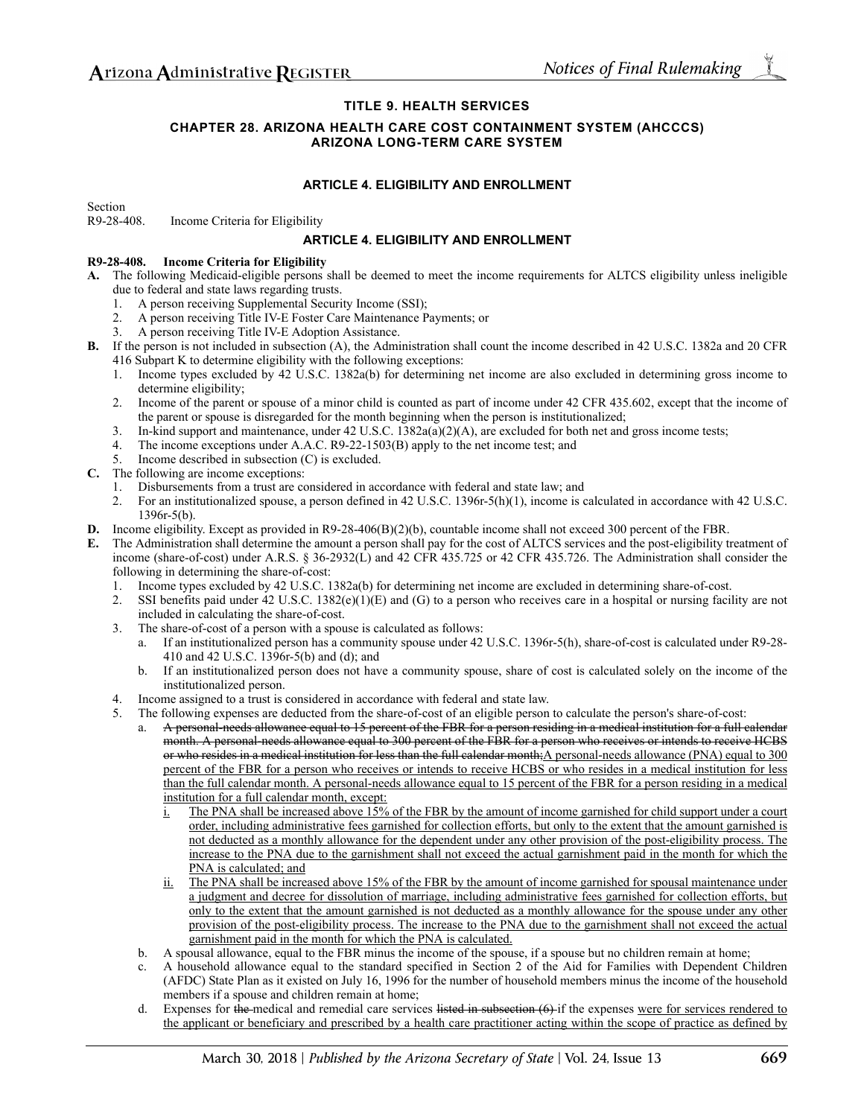### **TITLE 9. HEALTH SERVICES**

### **CHAPTER 28. ARIZONA HEALTH CARE COST CONTAINMENT SYSTEM (AHCCCS) ARIZONA LONG-TERM CARE SYSTEM**

### **ARTICLE 4. ELIGIBILITY AND ENROLLMENT**

Section R9-28-408. Income Criteria for Eligibility

### **ARTICLE 4. ELIGIBILITY AND ENROLLMENT**

#### **R9-28-408. Income Criteria for Eligibility**

- **A.** The following Medicaid-eligible persons shall be deemed to meet the income requirements for ALTCS eligibility unless ineligible due to federal and state laws regarding trusts.
	- 1. A person receiving Supplemental Security Income (SSI);
	- 2. A person receiving Title IV-E Foster Care Maintenance Payments; or
	- 3. A person receiving Title IV-E Adoption Assistance.
- **B.** If the person is not included in subsection (A), the Administration shall count the income described in 42 U.S.C. 1382a and 20 CFR 416 Subpart K to determine eligibility with the following exceptions:
	- 1. Income types excluded by 42 U.S.C. 1382a(b) for determining net income are also excluded in determining gross income to determine eligibility;
	- 2. Income of the parent or spouse of a minor child is counted as part of income under 42 CFR 435.602, except that the income of the parent or spouse is disregarded for the month beginning when the person is institutionalized;
	- 3. In-kind support and maintenance, under 42 U.S.C. 1382a(a)(2)(A), are excluded for both net and gross income tests;
	- 4. The income exceptions under A.A.C. R9-22-1503(B) apply to the net income test; and
	- 5. Income described in subsection (C) is excluded.
- **C.** The following are income exceptions:
	- 1. Disbursements from a trust are considered in accordance with federal and state law; and
	- 2. For an institutionalized spouse, a person defined in 42 U.S.C. 1396r-5(h)(1), income is calculated in accordance with 42 U.S.C. 1396r-5(b).
- **D.** Income eligibility. Except as provided in R9-28-406(B)(2)(b), countable income shall not exceed 300 percent of the FBR.
	- **E.** The Administration shall determine the amount a person shall pay for the cost of ALTCS services and the post-eligibility treatment of income (share-of-cost) under A.R.S. § 36-2932(L) and 42 CFR 435.725 or 42 CFR 435.726. The Administration shall consider the following in determining the share-of-cost:
		- 1. Income types excluded by 42 U.S.C. 1382a(b) for determining net income are excluded in determining share-of-cost.
		- 2. SSI benefits paid under 42 U.S.C.  $1382(e)(1)(E)$  and (G) to a person who receives care in a hospital or nursing facility are not included in calculating the share-of-cost.
		- 3. The share-of-cost of a person with a spouse is calculated as follows:
			- a. If an institutionalized person has a community spouse under 42 U.S.C. 1396r-5(h), share-of-cost is calculated under R9-28- 410 and 42 U.S.C. 1396r-5(b) and (d); and
			- b. If an institutionalized person does not have a community spouse, share of cost is calculated solely on the income of the institutionalized person.
		- 4. Income assigned to a trust is considered in accordance with federal and state law.
		- 5. The following expenses are deducted from the share-of-cost of an eligible person to calculate the person's share-of-cost:
			- a. A personal-needs allowance equal to 15 percent of the FBR for a person residing in a medical institution for a full calendar month. A personal-needs allowance equal to 300 percent of the FBR for a person who receives or intends to receive HCBS or who resides in a medical institution for less than the full calendar month;A personal-needs allowance (PNA) equal to 300 percent of the FBR for a person who receives or intends to receive HCBS or who resides in a medical institution for less than the full calendar month. A personal-needs allowance equal to 15 percent of the FBR for a person residing in a medical institution for a full calendar month, except:
				- i. The PNA shall be increased above 15% of the FBR by the amount of income garnished for child support under a court order, including administrative fees garnished for collection efforts, but only to the extent that the amount garnished is not deducted as a monthly allowance for the dependent under any other provision of the post-eligibility process. The increase to the PNA due to the garnishment shall not exceed the actual garnishment paid in the month for which the PNA is calculated; and
				- ii. The PNA shall be increased above 15% of the FBR by the amount of income garnished for spousal maintenance under a judgment and decree for dissolution of marriage, including administrative fees garnished for collection efforts, but only to the extent that the amount garnished is not deducted as a monthly allowance for the spouse under any other provision of the post-eligibility process. The increase to the PNA due to the garnishment shall not exceed the actual garnishment paid in the month for which the PNA is calculated.
			- b. A spousal allowance, equal to the FBR minus the income of the spouse, if a spouse but no children remain at home;
			- c. A household allowance equal to the standard specified in Section 2 of the Aid for Families with Dependent Children (AFDC) State Plan as it existed on July 16, 1996 for the number of household members minus the income of the household members if a spouse and children remain at home;
			- Expenses for the medical and remedial care services listed in subsection  $(6)$  if the expenses were for services rendered to the applicant or beneficiary and prescribed by a health care practitioner acting within the scope of practice as defined by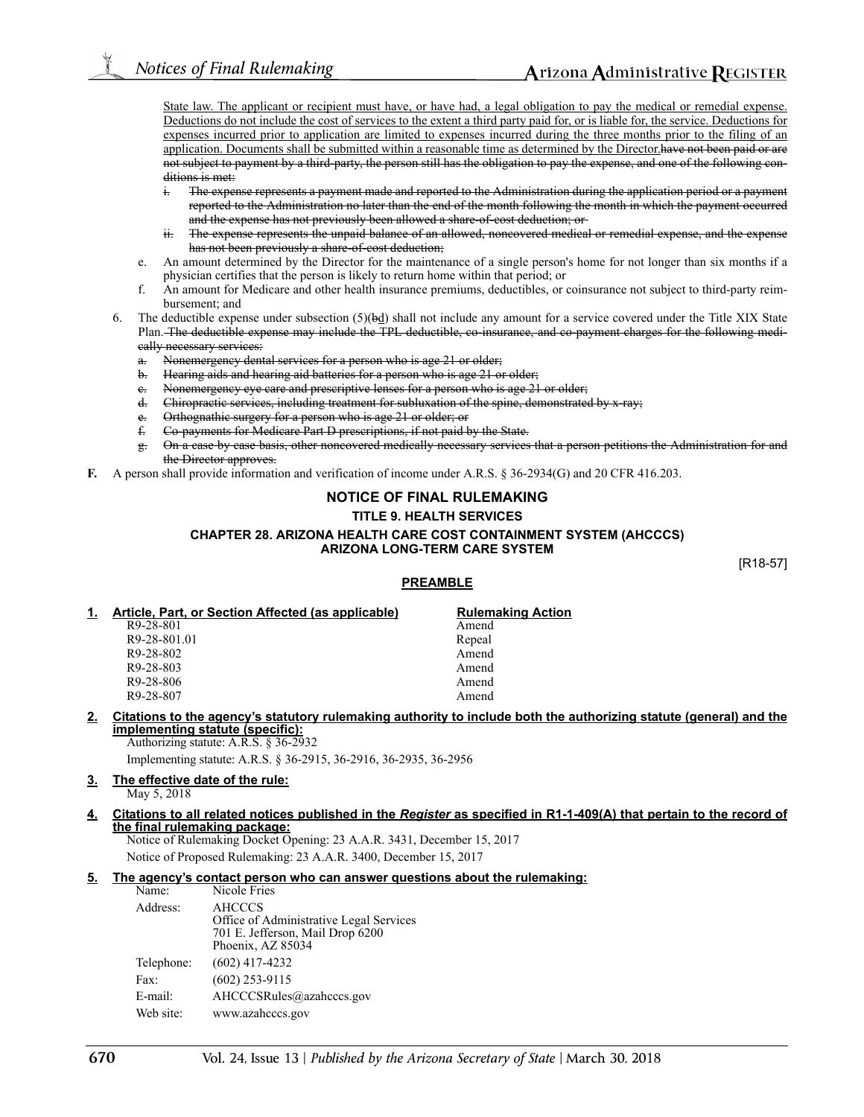State law. The applicant or recipient must have, or have had, a legal obligation to pay the medical or remedial expense. Deductions do not include the cost of services to the extent a third party paid for, or is liable for, the service. Deductions for expenses incurred prior to application are limited to expenses incurred during the three months prior to the filing of an application. Documents shall be submitted within a reasonable time as determined by the Director.have not been paid or are not subject to payment by a third-party, the person still has the obligation to pay the expense, and one of the following conditions is met:

- i. The expense represents a payment made and reported to the Administration during the application period or a payment reported to the Administration no later than the end of the month following the month in which the payment occurred and the expense has not previously been allowed a share-of-cost deduction; or
- ii. The expense represents the unpaid balance of an allowed, noncovered medical or remedial expense, and the expense has not been previously a share-of-cost deduction;
- e. An amount determined by the Director for the maintenance of a single person's home for not longer than six months if a physician certifies that the person is likely to return home within that period; or
- f. An amount for Medicare and other health insurance premiums, deductibles, or coinsurance not subject to third-party reimbursement; and
- 6. The deductible expense under subsection  $(5)(\frac{bd}{d})$  shall not include any amount for a service covered under the Title XIX State Plan. The deductible expense may include the TPL deductible, co-insurance, and co-payment charges for the following medically necessary services:
	- a. Nonemergency dental services for a person who is age 21 or older;
	- b. Hearing aids and hearing aid batteries for a person who is age 21 or older;
	- e. Nonemergency eye care and prescriptive lenses for a person who is age 21 or older;
	- d. Chiropractic services, including treatment for subluxation of the spine, demonstrated by x-ray;
	- Orthognathic surgery for a person who is age 21 or older; or
	- f. Co-payments for Medicare Part D prescriptions, if not paid by the State.
	- g. On a case by case basis, other noncovered medically necessary services that a person petitions the Administration for and the Director approves.
- **F.** A person shall provide information and verification of income under A.R.S. § 36-2934(G) and 20 CFR 416.203.

## **NOTICE OF FINAL RULEMAKING TITLE 9. HEALTH SERVICES CHAPTER 28. ARIZONA HEALTH CARE COST CONTAINMENT SYSTEM (AHCCCS) ARIZONA LONG-TERM CARE SYSTEM**

[R18-57]

### **PREAMBLE**

| Article, Part, or Section Affected (as applicable) | <b>Rulemaking Action</b> |
|----------------------------------------------------|--------------------------|
| R9-28-801                                          | Amend                    |
| R9-28-801.01                                       | Repeal                   |
| R9-28-802                                          | Amend                    |
| R9-28-803                                          | Amend                    |
| R9-28-806                                          | Amend                    |
| R9-28-807                                          | Amend                    |

### **2. Citations to the agency's statutory rulemaking authority to include both the authorizing statute (general) and the implementing statute (specific):**

Authorizing statute: A.R.S. § 36-2932 Implementing statute: A.R.S. § 36-2915, 36-2916, 36-2935, 36-2956

## **3. The effective date of the rule:**

May 5, 2018

#### **4. Citations to all related notices published in the** *Register* **as specified in R1-1-409(A) that pertain to the record of the final rulemaking package:**

Notice of Rulemaking Docket Opening: 23 A.A.R. 3431, December 15, 2017 Notice of Proposed Rulemaking: 23 A.A.R. 3400, December 15, 2017

### **5. The agency's contact person who can answer questions about the rulemaking:**

| Name:      | Nicole Fries                                                                                                      |
|------------|-------------------------------------------------------------------------------------------------------------------|
| Address:   | <b>AHCCCS</b><br>Office of Administrative Legal Services<br>701 E. Jefferson, Mail Drop 6200<br>Phoenix, AZ 85034 |
| Telephone: | $(602)$ 417-4232                                                                                                  |
| Fax:       | $(602)$ 253-9115                                                                                                  |
| E-mail:    | AHCCCSRules@azahcccs.gov                                                                                          |
| Web site:  | www.azahcccs.gov                                                                                                  |
|            |                                                                                                                   |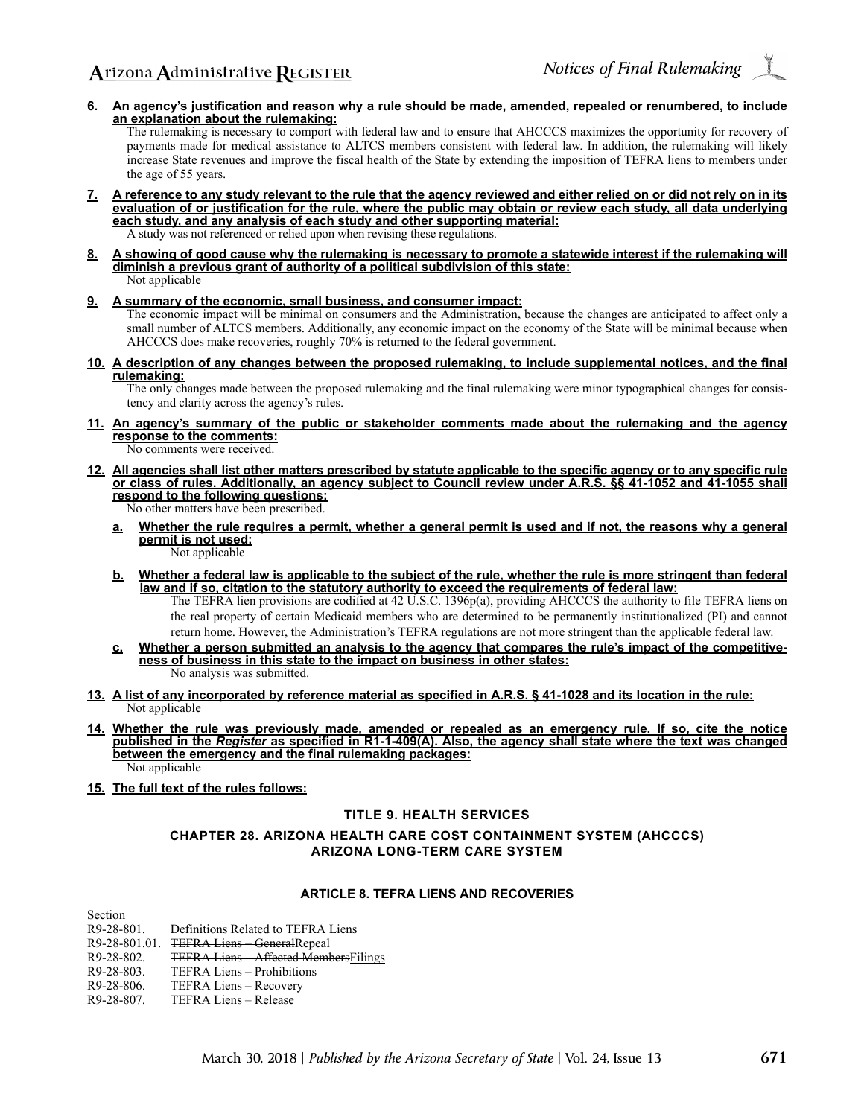**6. An agency's justification and reason why a rule should be made, amended, repealed or renumbered, to include an explanation about the rulemaking:**

The rulemaking is necessary to comport with federal law and to ensure that AHCCCS maximizes the opportunity for recovery of payments made for medical assistance to ALTCS members consistent with federal law. In addition, the rulemaking will likely increase State revenues and improve the fiscal health of the State by extending the imposition of TEFRA liens to members under the age of 55 years.

- **7. A reference to any study relevant to the rule that the agency reviewed and either relied on or did not rely on in its evaluation of or justification for the rule, where the public may obtain or review each study, all data underlying each study, and any analysis of each study and other supporting material:** A study was not referenced or relied upon when revising these regulations.
- **8. A showing of good cause why the rulemaking is necessary to promote a statewide interest if the rulemaking will diminish a previous grant of authority of a political subdivision of this state:** Not applicable
- **9. A summary of the economic, small business, and consumer impact:**

The economic impact will be minimal on consumers and the Administration, because the changes are anticipated to affect only a small number of ALTCS members. Additionally, any economic impact on the economy of the State will be minimal because when AHCCCS does make recoveries, roughly 70% is returned to the federal government.

**10. A description of any changes between the proposed rulemaking, to include supplemental notices, and the final rulemaking:**

The only changes made between the proposed rulemaking and the final rulemaking were minor typographical changes for consistency and clarity across the agency's rules.

**11. An agency's summary of the public or stakeholder comments made about the rulemaking and the agency response to the comments:**

No comments were received.

- **12. All agencies shall list other matters prescribed by statute applicable to the specific agency or to any specific rule or class of rules. Additionally, an agency subject to Council review under A.R.S. §§ 41-1052 and 41-1055 shall respond to the following questions:**
	- No other matters have been prescribed.
	- **a. Whether the rule requires a permit, whether a general permit is used and if not, the reasons why a general permit is not used:**

Not applicable

**b. Whether a federal law is applicable to the subject of the rule, whether the rule is more stringent than federal law and if so, citation to the statutory authority to exceed the requirements of federal law:**

The TEFRA lien provisions are codified at 42 U.S.C. 1396p(a), providing AHCCCS the authority to file TEFRA liens on the real property of certain Medicaid members who are determined to be permanently institutionalized (PI) and cannot return home. However, the Administration's TEFRA regulations are not more stringent than the applicable federal law.

- **c. Whether a person submitted an analysis to the agency that compares the rule's impact of the competitiveness of business in this state to the impact on business in other states:** No analysis was submitted.
- **13. A list of any incorporated by reference material as specified in A.R.S. § 41-1028 and its location in the rule:** Not applicable
- **14. Whether the rule was previously made, amended or repealed as an emergency rule. If so, cite the notice published in the** *Register* **as specified in R1-1-409(A). Also, the agency shall state where the text was changed between the emergency and the final rulemaking packages:** Not applicable
- **15. The full text of the rules follows:**

### **TITLE 9. HEALTH SERVICES**

**CHAPTER 28. ARIZONA HEALTH CARE COST CONTAINMENT SYSTEM (AHCCCS) ARIZONA LONG-TERM CARE SYSTEM**

### **ARTICLE 8. TEFRA LIENS AND RECOVERIES**

Section R9-28-801. Definitions Related to TEFRA Liens R9-28-801.01. TEFRA Liens – GeneralRepeal R9-28-802. TEFRA Liens – Affected MembersFilings R9-28-803. TEFRA Liens – Prohibitions<br>R9-28-806. TEFRA Liens – Recovery R9-28-806. TEFRA Liens – Recovery<br>R9-28-807. TEFRA Liens – Release TEFRA Liens – Release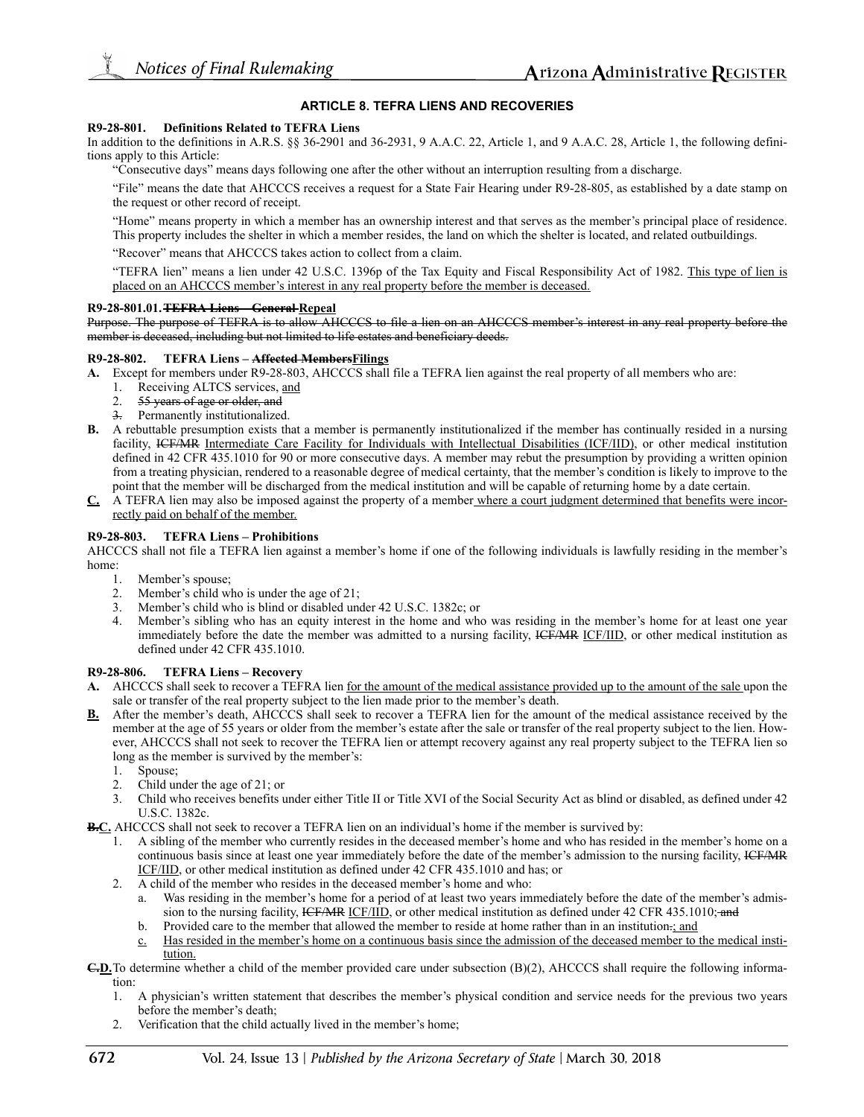### **ARTICLE 8. TEFRA LIENS AND RECOVERIES**

#### **R9-28-801. Definitions Related to TEFRA Liens**

In addition to the definitions in A.R.S. §§ 36-2901 and 36-2931, 9 A.A.C. 22, Article 1, and 9 A.A.C. 28, Article 1, the following definitions apply to this Article:

"Consecutive days" means days following one after the other without an interruption resulting from a discharge.

"File" means the date that AHCCCS receives a request for a State Fair Hearing under R9-28-805, as established by a date stamp on the request or other record of receipt.

"Home" means property in which a member has an ownership interest and that serves as the member's principal place of residence. This property includes the shelter in which a member resides, the land on which the shelter is located, and related outbuildings.

"Recover" means that AHCCCS takes action to collect from a claim.

"TEFRA lien" means a lien under 42 U.S.C. 1396p of the Tax Equity and Fiscal Responsibility Act of 1982. This type of lien is placed on an AHCCCS member's interest in any real property before the member is deceased.

#### **R9-28-801.01.TEFRA Liens – General Repeal**

Purpose. The purpose of TEFRA is to allow AHCCCS to file a lien on an AHCCCS member's interest in any real property before the member is deceased, including but not limited to life estates and beneficiary deeds.

### **R9-28-802. TEFRA Liens – Affected MembersFilings**

- **A.** Except for members under R9-28-803, AHCCCS shall file a TEFRA lien against the real property of all members who are:
	-
	- 1. Receiving ALTCS services, and<br>2. 55 years of age or older, and 55 years of age or older, and
	- 3. Permanently institutionalized.
- **B.** A rebuttable presumption exists that a member is permanently institutionalized if the member has continually resided in a nursing facility, ICF/MR Intermediate Care Facility for Individuals with Intellectual Disabilities (ICF/IID), or other medical institution defined in 42 CFR 435.1010 for 90 or more consecutive days. A member may rebut the presumption by providing a written opinion from a treating physician, rendered to a reasonable degree of medical certainty, that the member's condition is likely to improve to the point that the member will be discharged from the medical institution and will be capable of returning home by a date certain.
- **C.** A TEFRA lien may also be imposed against the property of a member where a court judgment determined that benefits were incorrectly paid on behalf of the member.

#### **R9-28-803. TEFRA Liens – Prohibitions**

AHCCCS shall not file a TEFRA lien against a member's home if one of the following individuals is lawfully residing in the member's home:

- 1. Member's spouse;
- 2. Member's child who is under the age of 21;
- 3. Member's child who is blind or disabled under 42 U.S.C. 1382c; or
- 4. Member's sibling who has an equity interest in the home and who was residing in the member's home for at least one year immediately before the date the member was admitted to a nursing facility, HCF/MR ICF/IID, or other medical institution as defined under 42 CFR 435.1010.

#### **R9-28-806. TEFRA Liens – Recovery**

- **A.** AHCCCS shall seek to recover a TEFRA lien for the amount of the medical assistance provided up to the amount of the sale upon the sale or transfer of the real property subject to the lien made prior to the member's death.
- **B.** After the member's death, AHCCCS shall seek to recover a TEFRA lien for the amount of the medical assistance received by the member at the age of 55 years or older from the member's estate after the sale or transfer of the real property subject to the lien. However, AHCCCS shall not seek to recover the TEFRA lien or attempt recovery against any real property subject to the TEFRA lien so long as the member is survived by the member's:
	- 1. Spouse;
	- 2. Child under the age of 21; or
	- 3. Child who receives benefits under either Title II or Title XVI of the Social Security Act as blind or disabled, as defined under 42 U.S.C. 1382c.
- **B.C.** AHCCCS shall not seek to recover a TEFRA lien on an individual's home if the member is survived by:
	- 1. A sibling of the member who currently resides in the deceased member's home and who has resided in the member's home on a continuous basis since at least one year immediately before the date of the member's admission to the nursing facility, ICF/MR ICF/IID, or other medical institution as defined under 42 CFR 435.1010 and has; or
	- 2. A child of the member who resides in the deceased member's home and who:
		- a. Was residing in the member's home for a period of at least two years immediately before the date of the member's admission to the nursing facility, ICF/MR ICF/IID, or other medical institution as defined under 42 CFR 435.1010; and
		- b. Provided care to the member that allowed the member to reside at home rather than in an institution.; and
		- c. Has resided in the member's home on a continuous basis since the admission of the deceased member to the medical institution.
- **C.D.**To determine whether a child of the member provided care under subsection (B)(2), AHCCCS shall require the following information:
	- 1. A physician's written statement that describes the member's physical condition and service needs for the previous two years before the member's death;
	- 2. Verification that the child actually lived in the member's home;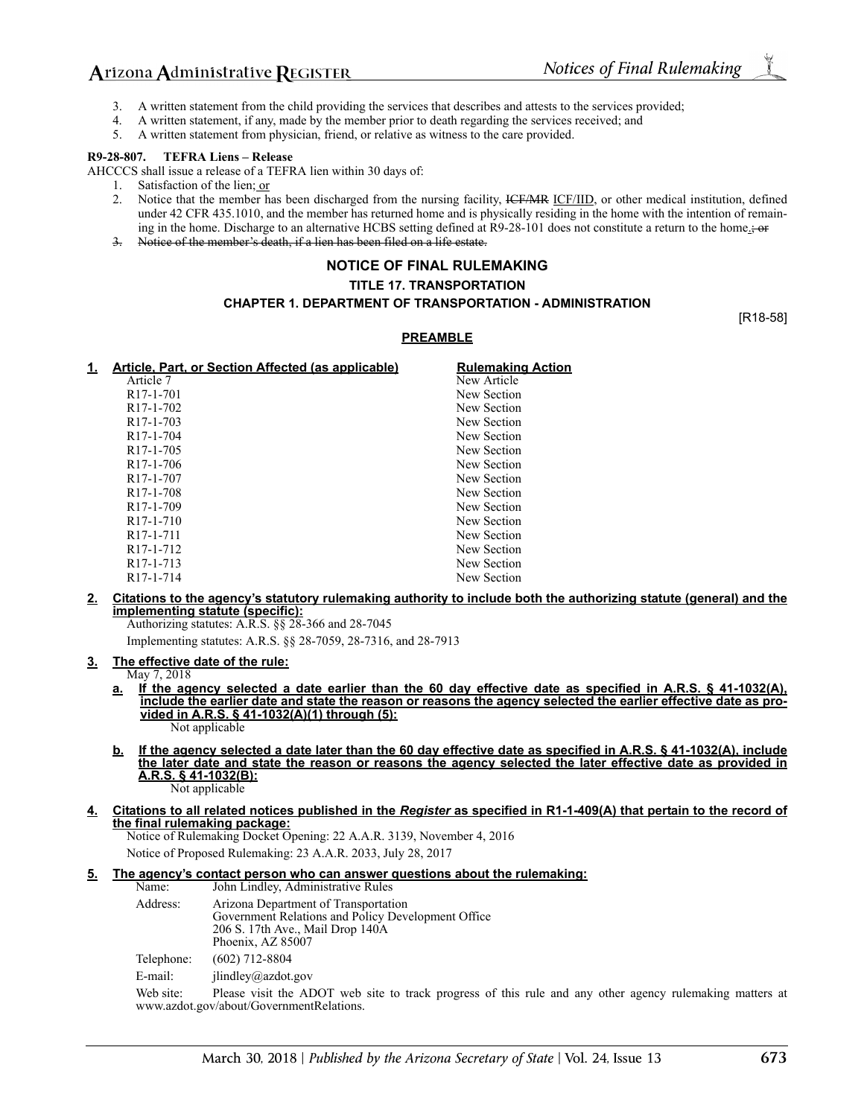# Arizona Administrative REGISTER

- 3. A written statement from the child providing the services that describes and attests to the services provided;
- 4. A written statement, if any, made by the member prior to death regarding the services received; and
- 5. A written statement from physician, friend, or relative as witness to the care provided.

#### **R9-28-807. TEFRA Liens – Release**

AHCCCS shall issue a release of a TEFRA lien within 30 days of:

- 1. Satisfaction of the lien; or 2. Notice that the member has
- Notice that the member has been discharged from the nursing facility, ICF/MR ICF/IID, or other medical institution, defined under 42 CFR 435.1010, and the member has returned home and is physically residing in the home with the intention of remaining in the home. Discharge to an alternative HCBS setting defined at R9-28-101 does not constitute a return to the home.
- 3. Notice of the member's death, if a lien has been filed on a life estate.

## **NOTICE OF FINAL RULEMAKING**

#### **TITLE 17. TRANSPORTATION**

## **CHAPTER 1. DEPARTMENT OF TRANSPORTATION - ADMINISTRATION**

[R18-58]

#### **PREAMBLE**

| Article, Part, or Section Affected (as applicable) | <b>Rulemaking Action</b> |
|----------------------------------------------------|--------------------------|
| Article 7                                          | New Article              |
| R <sub>17</sub> -1-701                             | New Section              |
| R <sub>17</sub> -1-702                             | New Section              |
| R <sub>17</sub> -1-703                             | New Section              |
| R <sub>17</sub> -1-704                             | New Section              |
| R <sub>17</sub> -1-705                             | New Section              |
| R <sub>17</sub> -1-706                             | New Section              |
| R <sub>17</sub> -1-707                             | New Section              |
| R <sub>17</sub> -1-708                             | New Section              |
| R <sub>17</sub> -1-709                             | New Section              |
| R <sub>17</sub> -1-710                             | New Section              |
| R <sub>17</sub> -1-711                             | New Section              |
| R <sub>17</sub> -1-712                             | New Section              |
| R <sub>17</sub> -1-7 <sub>13</sub>                 | New Section              |
| R <sub>17</sub> -1-714                             | New Section              |
|                                                    |                          |

#### **2. Citations to the agency's statutory rulemaking authority to include both the authorizing statute (general) and the implementing statute (specific):**

Authorizing statutes: A.R.S. §§ 28-366 and 28-7045 Implementing statutes: A.R.S. §§ 28-7059, 28-7316, and 28-7913

#### **3. The effective date of the rule:**

May 7, 2018

- **a. If the agency selected a date earlier than the 60 day effective date as specified in A.R.S. § 41-1032(A), include the earlier date and state the reason or reasons the agency selected the earlier effective date as provided in A.R.S. § 41-1032(A)(1) through (5):** Not applicable
- **b. If the agency selected a date later than the 60 day effective date as specified in A.R.S. § 41-1032(A), include the later date and state the reason or reasons the agency selected the later effective date as provided in A.R.S. § 41-1032(B):** Not applicable

#### **4. Citations to all related notices published in the** *Register* **as specified in R1-1-409(A) that pertain to the record of the final rulemaking package:**

Notice of Rulemaking Docket Opening: 22 A.A.R. 3139, November 4, 2016

Notice of Proposed Rulemaking: 23 A.A.R. 2033, July 28, 2017

### **5. The agency's contact person who can answer questions about the rulemaking:**

| Name:        | John Lindley, Administrative Rules                                                                                                                                                                                                                                                                                                  |
|--------------|-------------------------------------------------------------------------------------------------------------------------------------------------------------------------------------------------------------------------------------------------------------------------------------------------------------------------------------|
| Address:     | Arizona Department of Transportation<br>Government Relations and Policy Development Office<br>206 S. 17th Ave., Mail Drop 140A<br>Phoenix, AZ 85007                                                                                                                                                                                 |
| Telephone:   | $(602)$ 712-8804                                                                                                                                                                                                                                                                                                                    |
| E-mail:      | ilindley@azdot.gov                                                                                                                                                                                                                                                                                                                  |
| $\mathbf{v}$ | $\mathbf{D1}$ $\mathbf{L}$ $\mathbf{L}$ $\mathbf{L}$ $\mathbf{D}$ $\mathbf{C}$ $\mathbf{T}$ $\mathbf{L}$ $\mathbf{L}$ $\mathbf{L}$ $\mathbf{L}$ $\mathbf{L}$ $\mathbf{L}$ $\mathbf{L}$ $\mathbf{L}$ $\mathbf{L}$ $\mathbf{L}$ $\mathbf{L}$ $\mathbf{L}$ $\mathbf{L}$ $\mathbf{L}$ $\mathbf{L}$ $\mathbf{L}$ $\mathbf{L}$ $\mathbf{$ |

Web site: Please visit the ADOT web site to track progress of this rule and any other agency rulemaking matters at www.azdot.gov/about/GovernmentRelations.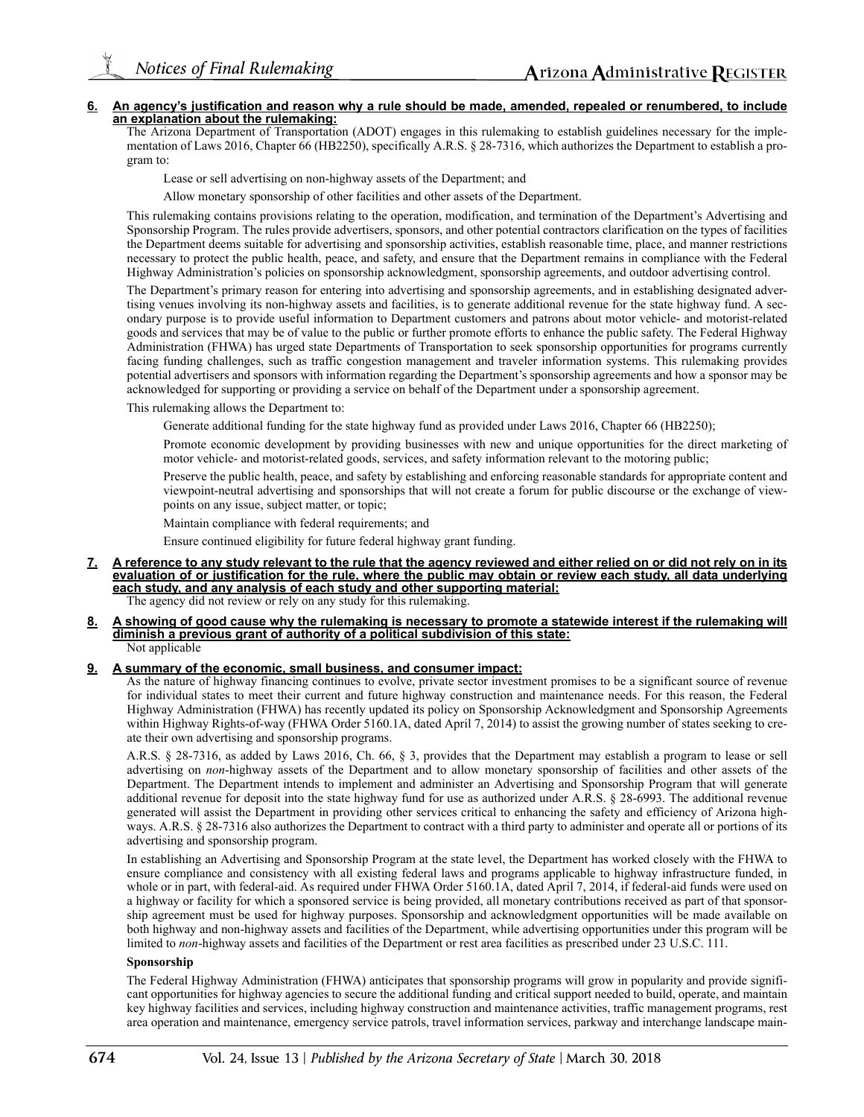#### **6. An agency's justification and reason why a rule should be made, amended, repealed or renumbered, to include an explanation about the rulemaking:**

The Arizona Department of Transportation (ADOT) engages in this rulemaking to establish guidelines necessary for the implementation of Laws 2016, Chapter 66 (HB2250), specifically A.R.S. § 28-7316, which authorizes the Department to establish a program to:

Lease or sell advertising on non-highway assets of the Department; and

Allow monetary sponsorship of other facilities and other assets of the Department.

This rulemaking contains provisions relating to the operation, modification, and termination of the Department's Advertising and Sponsorship Program. The rules provide advertisers, sponsors, and other potential contractors clarification on the types of facilities the Department deems suitable for advertising and sponsorship activities, establish reasonable time, place, and manner restrictions necessary to protect the public health, peace, and safety, and ensure that the Department remains in compliance with the Federal Highway Administration's policies on sponsorship acknowledgment, sponsorship agreements, and outdoor advertising control.

The Department's primary reason for entering into advertising and sponsorship agreements, and in establishing designated advertising venues involving its non-highway assets and facilities, is to generate additional revenue for the state highway fund. A secondary purpose is to provide useful information to Department customers and patrons about motor vehicle- and motorist-related goods and services that may be of value to the public or further promote efforts to enhance the public safety. The Federal Highway Administration (FHWA) has urged state Departments of Transportation to seek sponsorship opportunities for programs currently facing funding challenges, such as traffic congestion management and traveler information systems. This rulemaking provides potential advertisers and sponsors with information regarding the Department's sponsorship agreements and how a sponsor may be acknowledged for supporting or providing a service on behalf of the Department under a sponsorship agreement.

This rulemaking allows the Department to:

Generate additional funding for the state highway fund as provided under Laws 2016, Chapter 66 (HB2250);

Promote economic development by providing businesses with new and unique opportunities for the direct marketing of motor vehicle- and motorist-related goods, services, and safety information relevant to the motoring public;

Preserve the public health, peace, and safety by establishing and enforcing reasonable standards for appropriate content and viewpoint-neutral advertising and sponsorships that will not create a forum for public discourse or the exchange of viewpoints on any issue, subject matter, or topic;

Maintain compliance with federal requirements; and

Ensure continued eligibility for future federal highway grant funding.

- **7. A reference to any study relevant to the rule that the agency reviewed and either relied on or did not rely on in its evaluation of or justification for the rule, where the public may obtain or review each study, all data underlying each study, and any analysis of each study and other supporting material:** The agency did not review or rely on any study for this rulemaking.
- **8. A showing of good cause why the rulemaking is necessary to promote a statewide interest if the rulemaking will**
- **diminish a previous grant of authority of a political subdivision of this state:** Not applicable

#### **9. A summary of the economic, small business, and consumer impact:**

As the nature of highway financing continues to evolve, private sector investment promises to be a significant source of revenue for individual states to meet their current and future highway construction and maintenance needs. For this reason, the Federal Highway Administration (FHWA) has recently updated its policy on Sponsorship Acknowledgment and Sponsorship Agreements within Highway Rights-of-way (FHWA Order 5160.1A, dated April 7, 2014) to assist the growing number of states seeking to create their own advertising and sponsorship programs.

A.R.S. § 28-7316, as added by Laws 2016, Ch. 66, § 3, provides that the Department may establish a program to lease or sell advertising on *non*-highway assets of the Department and to allow monetary sponsorship of facilities and other assets of the Department. The Department intends to implement and administer an Advertising and Sponsorship Program that will generate additional revenue for deposit into the state highway fund for use as authorized under A.R.S. § 28-6993. The additional revenue generated will assist the Department in providing other services critical to enhancing the safety and efficiency of Arizona highways. A.R.S. § 28-7316 also authorizes the Department to contract with a third party to administer and operate all or portions of its advertising and sponsorship program.

In establishing an Advertising and Sponsorship Program at the state level, the Department has worked closely with the FHWA to ensure compliance and consistency with all existing federal laws and programs applicable to highway infrastructure funded, in whole or in part, with federal-aid. As required under FHWA Order 5160.1A, dated April 7, 2014, if federal-aid funds were used on a highway or facility for which a sponsored service is being provided, all monetary contributions received as part of that sponsorship agreement must be used for highway purposes. Sponsorship and acknowledgment opportunities will be made available on both highway and non-highway assets and facilities of the Department, while advertising opportunities under this program will be limited to *non*-highway assets and facilities of the Department or rest area facilities as prescribed under 23 U.S.C. 111.

#### **Sponsorship**

The Federal Highway Administration (FHWA) anticipates that sponsorship programs will grow in popularity and provide significant opportunities for highway agencies to secure the additional funding and critical support needed to build, operate, and maintain key highway facilities and services, including highway construction and maintenance activities, traffic management programs, rest area operation and maintenance, emergency service patrols, travel information services, parkway and interchange landscape main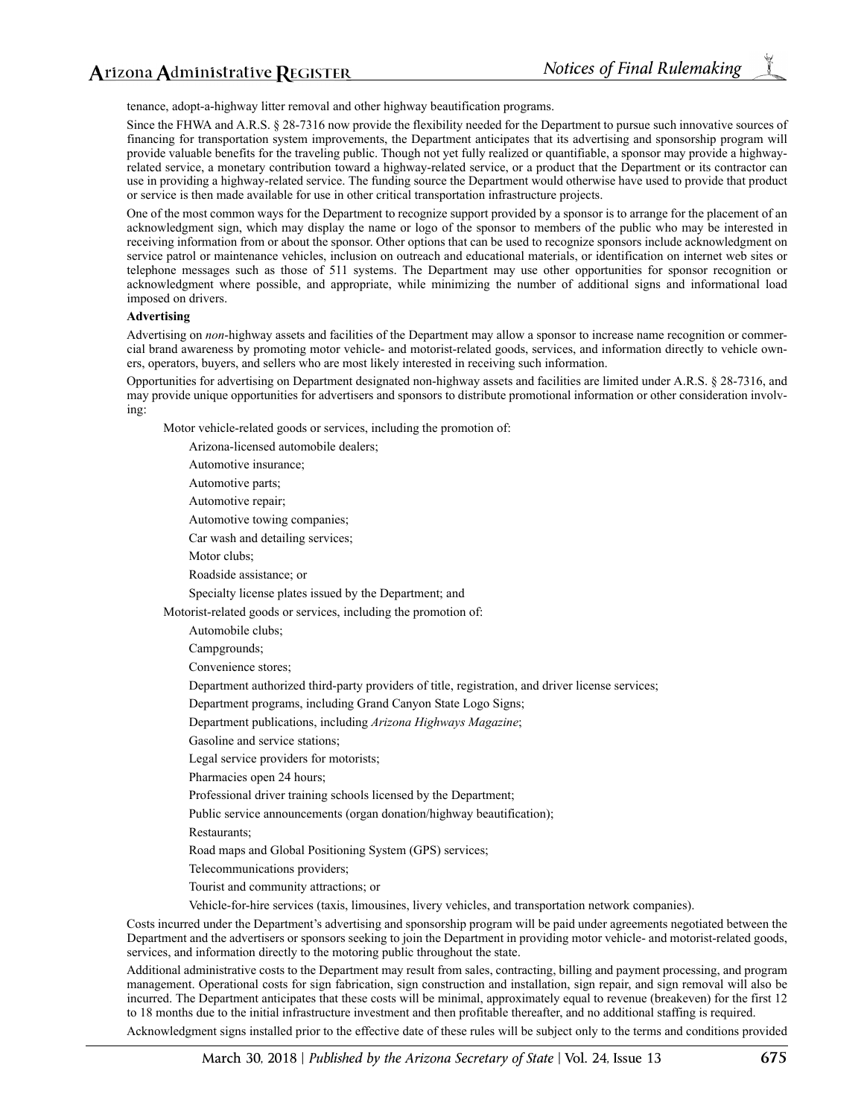tenance, adopt-a-highway litter removal and other highway beautification programs.

Since the FHWA and A.R.S. § 28-7316 now provide the flexibility needed for the Department to pursue such innovative sources of financing for transportation system improvements, the Department anticipates that its advertising and sponsorship program will provide valuable benefits for the traveling public. Though not yet fully realized or quantifiable, a sponsor may provide a highwayrelated service, a monetary contribution toward a highway-related service, or a product that the Department or its contractor can use in providing a highway-related service. The funding source the Department would otherwise have used to provide that product or service is then made available for use in other critical transportation infrastructure projects.

One of the most common ways for the Department to recognize support provided by a sponsor is to arrange for the placement of an acknowledgment sign, which may display the name or logo of the sponsor to members of the public who may be interested in receiving information from or about the sponsor. Other options that can be used to recognize sponsors include acknowledgment on service patrol or maintenance vehicles, inclusion on outreach and educational materials, or identification on internet web sites or telephone messages such as those of 511 systems. The Department may use other opportunities for sponsor recognition or acknowledgment where possible, and appropriate, while minimizing the number of additional signs and informational load imposed on drivers.

### **Advertising**

Advertising on *non*-highway assets and facilities of the Department may allow a sponsor to increase name recognition or commercial brand awareness by promoting motor vehicle- and motorist-related goods, services, and information directly to vehicle owners, operators, buyers, and sellers who are most likely interested in receiving such information.

Opportunities for advertising on Department designated non-highway assets and facilities are limited under A.R.S. § 28-7316, and may provide unique opportunities for advertisers and sponsors to distribute promotional information or other consideration involving:

Motor vehicle-related goods or services, including the promotion of:

Arizona-licensed automobile dealers;

Automotive insurance;

Automotive parts;

Automotive repair;

Automotive towing companies;

Car wash and detailing services;

Motor clubs;

Roadside assistance; or

Specialty license plates issued by the Department; and

Motorist-related goods or services, including the promotion of:

Automobile clubs;

Campgrounds;

Convenience stores;

Department authorized third-party providers of title, registration, and driver license services;

Department programs, including Grand Canyon State Logo Signs;

Department publications, including *Arizona Highways Magazine*;

Gasoline and service stations;

Legal service providers for motorists;

Pharmacies open 24 hours;

Professional driver training schools licensed by the Department;

Public service announcements (organ donation/highway beautification);

Restaurants;

Road maps and Global Positioning System (GPS) services;

Telecommunications providers;

Tourist and community attractions; or

Vehicle-for-hire services (taxis, limousines, livery vehicles, and transportation network companies).

Costs incurred under the Department's advertising and sponsorship program will be paid under agreements negotiated between the Department and the advertisers or sponsors seeking to join the Department in providing motor vehicle- and motorist-related goods, services, and information directly to the motoring public throughout the state.

Additional administrative costs to the Department may result from sales, contracting, billing and payment processing, and program management. Operational costs for sign fabrication, sign construction and installation, sign repair, and sign removal will also be incurred. The Department anticipates that these costs will be minimal, approximately equal to revenue (breakeven) for the first 12 to 18 months due to the initial infrastructure investment and then profitable thereafter, and no additional staffing is required.

Acknowledgment signs installed prior to the effective date of these rules will be subject only to the terms and conditions provided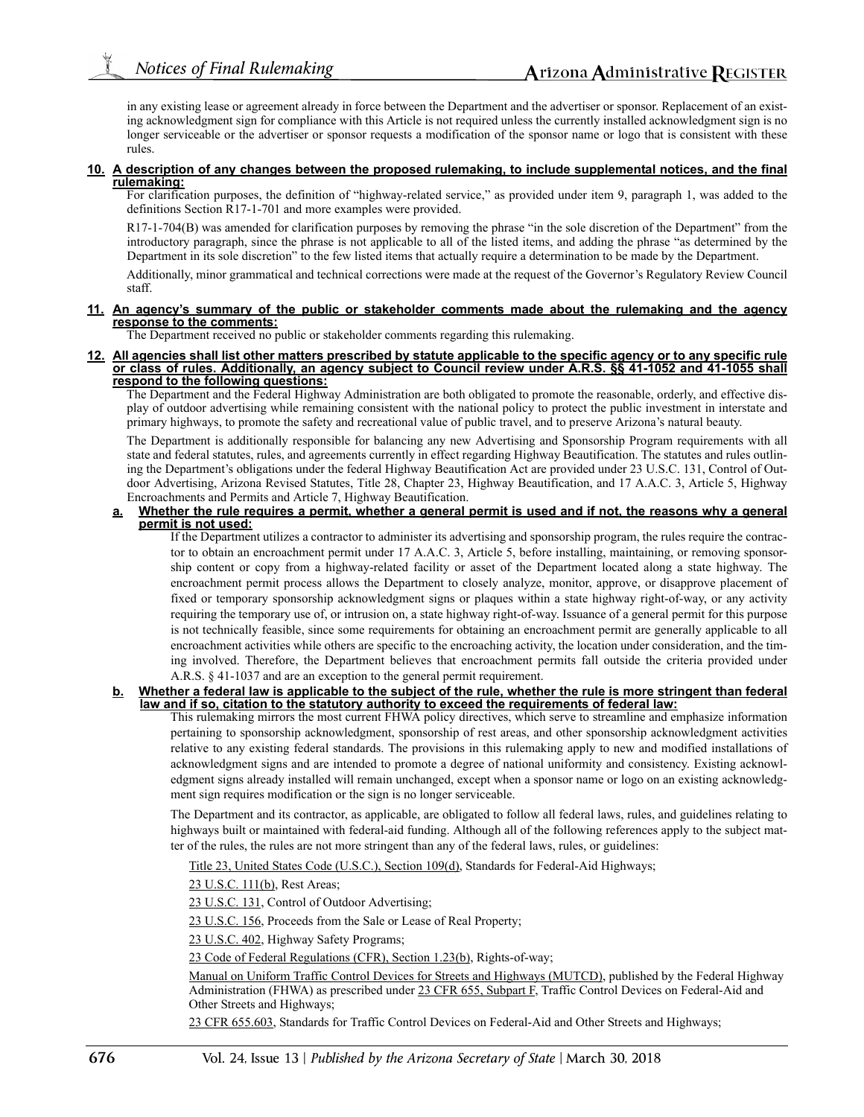in any existing lease or agreement already in force between the Department and the advertiser or sponsor. Replacement of an existing acknowledgment sign for compliance with this Article is not required unless the currently installed acknowledgment sign is no longer serviceable or the advertiser or sponsor requests a modification of the sponsor name or logo that is consistent with these rules.

#### **10. A description of any changes between the proposed rulemaking, to include supplemental notices, and the final rulemaking:**

For clarification purposes, the definition of "highway-related service," as provided under item 9, paragraph 1, was added to the definitions Section R17-1-701 and more examples were provided.

R17-1-704(B) was amended for clarification purposes by removing the phrase "in the sole discretion of the Department" from the introductory paragraph, since the phrase is not applicable to all of the listed items, and adding the phrase "as determined by the Department in its sole discretion" to the few listed items that actually require a determination to be made by the Department.

Additionally, minor grammatical and technical corrections were made at the request of the Governor's Regulatory Review Council staff.

#### **11. An agency's summary of the public or stakeholder comments made about the rulemaking and the agency response to the comments:**

The Department received no public or stakeholder comments regarding this rulemaking.

**12. All agencies shall list other matters prescribed by statute applicable to the specific agency or to any specific rule or class of rules. Additionally, an agency subject to Council review under A.R.S. §§ 41-1052 and 41-1055 shall respond to the following questions:**

The Department and the Federal Highway Administration are both obligated to promote the reasonable, orderly, and effective display of outdoor advertising while remaining consistent with the national policy to protect the public investment in interstate and primary highways, to promote the safety and recreational value of public travel, and to preserve Arizona's natural beauty.

The Department is additionally responsible for balancing any new Advertising and Sponsorship Program requirements with all state and federal statutes, rules, and agreements currently in effect regarding Highway Beautification. The statutes and rules outlining the Department's obligations under the federal Highway Beautification Act are provided under 23 U.S.C. 131, Control of Outdoor Advertising, Arizona Revised Statutes, Title 28, Chapter 23, Highway Beautification, and 17 A.A.C. 3, Article 5, Highway Encroachments and Permits and Article 7, Highway Beautification.

#### **a. Whether the rule requires a permit, whether a general permit is used and if not, the reasons why a general permit is not used:**

If the Department utilizes a contractor to administer its advertising and sponsorship program, the rules require the contractor to obtain an encroachment permit under 17 A.A.C. 3, Article 5, before installing, maintaining, or removing sponsorship content or copy from a highway-related facility or asset of the Department located along a state highway. The encroachment permit process allows the Department to closely analyze, monitor, approve, or disapprove placement of fixed or temporary sponsorship acknowledgment signs or plaques within a state highway right-of-way, or any activity requiring the temporary use of, or intrusion on, a state highway right-of-way. Issuance of a general permit for this purpose is not technically feasible, since some requirements for obtaining an encroachment permit are generally applicable to all encroachment activities while others are specific to the encroaching activity, the location under consideration, and the timing involved. Therefore, the Department believes that encroachment permits fall outside the criteria provided under A.R.S. § 41-1037 and are an exception to the general permit requirement.

#### **b. Whether a federal law is applicable to the subject of the rule, whether the rule is more stringent than federal law and if so, citation to the statutory authority to exceed the requirements of federal law:**

This rulemaking mirrors the most current FHWA policy directives, which serve to streamline and emphasize information pertaining to sponsorship acknowledgment, sponsorship of rest areas, and other sponsorship acknowledgment activities relative to any existing federal standards. The provisions in this rulemaking apply to new and modified installations of acknowledgment signs and are intended to promote a degree of national uniformity and consistency. Existing acknowledgment signs already installed will remain unchanged, except when a sponsor name or logo on an existing acknowledgment sign requires modification or the sign is no longer serviceable.

The Department and its contractor, as applicable, are obligated to follow all federal laws, rules, and guidelines relating to highways built or maintained with federal-aid funding. Although all of the following references apply to the subject matter of the rules, the rules are not more stringent than any of the federal laws, rules, or guidelines:

Title 23, United States Code (U.S.C.), Section 109(d), Standards for Federal-Aid Highways;

23 U.S.C. 111(b), Rest Areas;

23 U.S.C. 131, Control of Outdoor Advertising;

23 U.S.C. 156, Proceeds from the Sale or Lease of Real Property;

23 U.S.C. 402, Highway Safety Programs;

23 Code of Federal Regulations (CFR), Section 1.23(b), Rights-of-way;

Manual on Uniform Traffic Control Devices for Streets and Highways (MUTCD), published by the Federal Highway Administration (FHWA) as prescribed under 23 CFR 655, Subpart F, Traffic Control Devices on Federal-Aid and Other Streets and Highways;

23 CFR 655.603, Standards for Traffic Control Devices on Federal-Aid and Other Streets and Highways;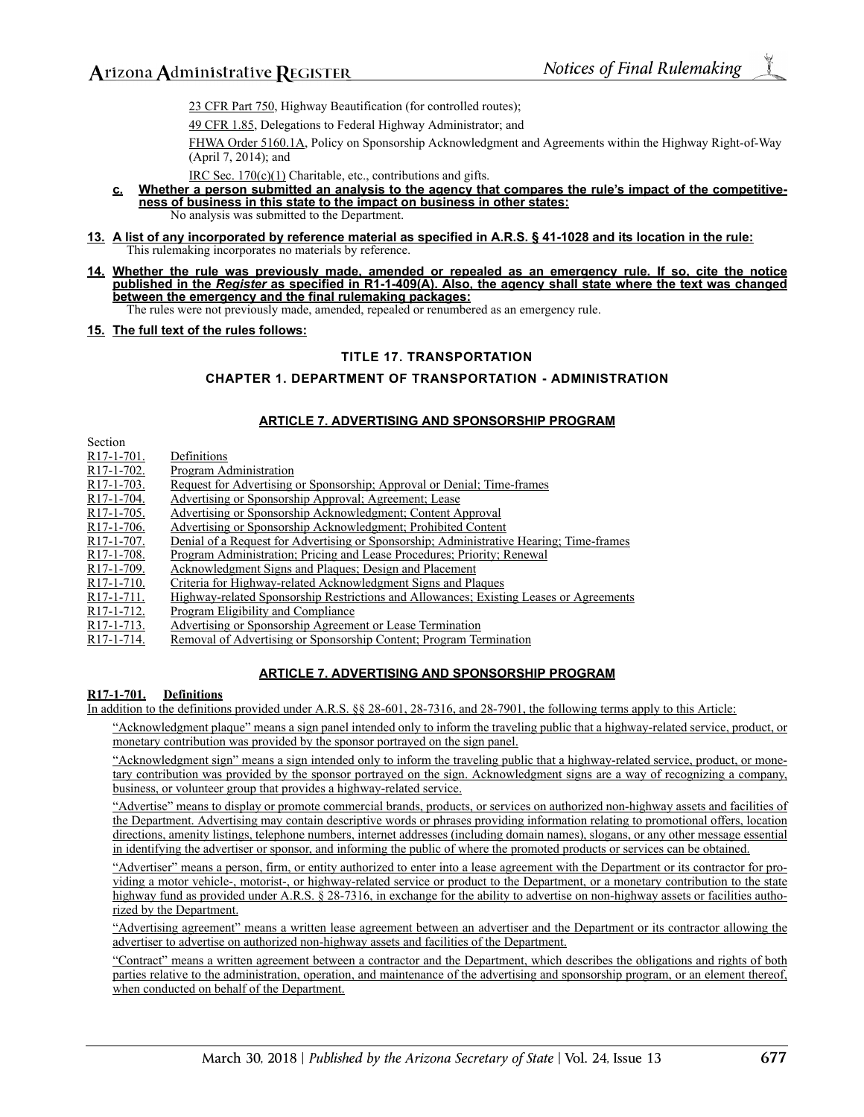23 CFR Part 750, Highway Beautification (for controlled routes);

49 CFR 1.85, Delegations to Federal Highway Administrator; and

FHWA Order 5160.1A, Policy on Sponsorship Acknowledgment and Agreements within the Highway Right-of-Way (April 7, 2014); and

IRC Sec. 170(c)(1) Charitable, etc., contributions and gifts.

- **c. Whether a person submitted an analysis to the agency that compares the rule's impact of the competitiveness of business in this state to the impact on business in other states:** No analysis was submitted to the Department.
- **13. A list of any incorporated by reference material as specified in A.R.S. § 41-1028 and its location in the rule:** This rulemaking incorporates no materials by reference.
- **14. Whether the rule was previously made, amended or repealed as an emergency rule. If so, cite the notice published in the** *Register* **as specified in R1-1-409(A). Also, the agency shall state where the text was changed between the emergency and the final rulemaking packages:**

The rules were not previously made, amended, repealed or renumbered as an emergency rule.

#### **15. The full text of the rules follows:**

#### **TITLE 17. TRANSPORTATION**

#### **CHAPTER 1. DEPARTMENT OF TRANSPORTATION - ADMINISTRATION**

#### **ARTICLE 7. ADVERTISING AND SPONSORSHIP PROGRAM**

| www.                                 |                                                                                         |
|--------------------------------------|-----------------------------------------------------------------------------------------|
| R <sub>17</sub> -1-701.              | Definitions                                                                             |
| R <sub>17</sub> -1-702.              | Program Administration                                                                  |
| R <sub>17</sub> -1-703.              | Request for Advertising or Sponsorship; Approval or Denial; Time-frames                 |
| R <sub>17</sub> -1-704.              | Advertising or Sponsorship Approval; Agreement; Lease                                   |
| R <sub>17</sub> -1-705.              | Advertising or Sponsorship Acknowledgment; Content Approval                             |
| R <sub>17</sub> -1-706.              | Advertising or Sponsorship Acknowledgment; Prohibited Content                           |
| R <sub>17</sub> -1-707.              | Denial of a Request for Advertising or Sponsorship; Administrative Hearing; Time-frames |
| R <sub>17</sub> -1-708.              | Program Administration; Pricing and Lease Procedures; Priority; Renewal                 |
| R <sub>17</sub> -1-709.              | Acknowledgment Signs and Plaques; Design and Placement                                  |
| $R17-1-710.$                         | Criteria for Highway-related Acknowledgment Signs and Plaques                           |
| R <sub>17</sub> -1-711.              | Highway-related Sponsorship Restrictions and Allowances; Existing Leases or Agreements  |
| R <sub>17</sub> -1-7 <sub>12</sub> . | Program Eligibility and Compliance                                                      |
| R <sub>17</sub> -1-7 <sub>13</sub> . | Advertising or Sponsorship Agreement or Lease Termination                               |
| R <sub>17</sub> -1-714.              | Removal of Advertising or Sponsorship Content; Program Termination                      |
|                                      |                                                                                         |

#### **ARTICLE 7. ADVERTISING AND SPONSORSHIP PROGRAM**

#### **R17-1-701. Definitions**

Section

In addition to the definitions provided under A.R.S. §§ 28-601, 28-7316, and 28-7901, the following terms apply to this Article:

"Acknowledgment plaque" means a sign panel intended only to inform the traveling public that a highway-related service, product, or monetary contribution was provided by the sponsor portrayed on the sign panel.

"Acknowledgment sign" means a sign intended only to inform the traveling public that a highway-related service, product, or monetary contribution was provided by the sponsor portrayed on the sign. Acknowledgment signs are a way of recognizing a company, business, or volunteer group that provides a highway-related service.

"Advertise" means to display or promote commercial brands, products, or services on authorized non-highway assets and facilities of the Department. Advertising may contain descriptive words or phrases providing information relating to promotional offers, location directions, amenity listings, telephone numbers, internet addresses (including domain names), slogans, or any other message essential in identifying the advertiser or sponsor, and informing the public of where the promoted products or services can be obtained.

"Advertiser" means a person, firm, or entity authorized to enter into a lease agreement with the Department or its contractor for providing a motor vehicle-, motorist-, or highway-related service or product to the Department, or a monetary contribution to the state highway fund as provided under A.R.S. § 28-7316, in exchange for the ability to advertise on non-highway assets or facilities authorized by the Department.

"Advertising agreement" means a written lease agreement between an advertiser and the Department or its contractor allowing the advertiser to advertise on authorized non-highway assets and facilities of the Department.

"Contract" means a written agreement between a contractor and the Department, which describes the obligations and rights of both parties relative to the administration, operation, and maintenance of the advertising and sponsorship program, or an element thereof, when conducted on behalf of the Department.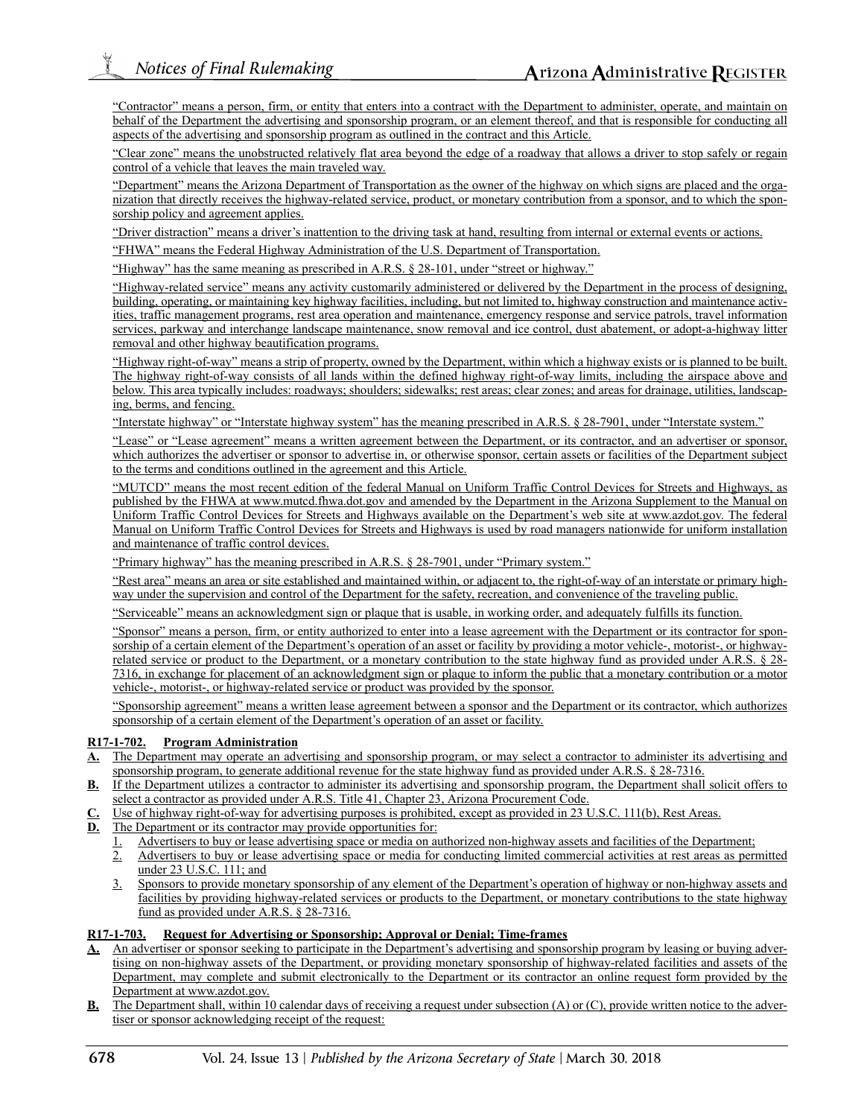"Contractor" means a person, firm, or entity that enters into a contract with the Department to administer, operate, and maintain on behalf of the Department the advertising and sponsorship program, or an element thereof, and that is responsible for conducting all aspects of the advertising and sponsorship program as outlined in the contract and this Article.

"Clear zone" means the unobstructed relatively flat area beyond the edge of a roadway that allows a driver to stop safely or regain control of a vehicle that leaves the main traveled way.

"Department" means the Arizona Department of Transportation as the owner of the highway on which signs are placed and the organization that directly receives the highway-related service, product, or monetary contribution from a sponsor, and to which the sponsorship policy and agreement applies.

"Driver distraction" means a driver's inattention to the driving task at hand, resulting from internal or external events or actions.

"FHWA" means the Federal Highway Administration of the U.S. Department of Transportation.

"Highway" has the same meaning as prescribed in A.R.S. § 28-101, under "street or highway."

"Highway-related service" means any activity customarily administered or delivered by the Department in the process of designing, building, operating, or maintaining key highway facilities, including, but not limited to, highway construction and maintenance activities, traffic management programs, rest area operation and maintenance, emergency response and service patrols, travel information services, parkway and interchange landscape maintenance, snow removal and ice control, dust abatement, or adopt-a-highway litter removal and other highway beautification programs.

"Highway right-of-way" means a strip of property, owned by the Department, within which a highway exists or is planned to be built. The highway right-of-way consists of all lands within the defined highway right-of-way limits, including the airspace above and below. This area typically includes: roadways; shoulders; sidewalks; rest areas; clear zones; and areas for drainage, utilities, landscaping, berms, and fencing.

"Interstate highway" or "Interstate highway system" has the meaning prescribed in A.R.S. § 28-7901, under "Interstate system."

"Lease" or "Lease agreement" means a written agreement between the Department, or its contractor, and an advertiser or sponsor, which authorizes the advertiser or sponsor to advertise in, or otherwise sponsor, certain assets or facilities of the Department subject to the terms and conditions outlined in the agreement and this Article.

"MUTCD" means the most recent edition of the federal Manual on Uniform Traffic Control Devices for Streets and Highways, as published by the FHWA at www.mutcd.fhwa.dot.gov and amended by the Department in the Arizona Supplement to the Manual on Uniform Traffic Control Devices for Streets and Highways available on the Department's web site at www.azdot.gov. The federal Manual on Uniform Traffic Control Devices for Streets and Highways is used by road managers nationwide for uniform installation and maintenance of traffic control devices.

"Primary highway" has the meaning prescribed in A.R.S. § 28-7901, under "Primary system."

"Rest area" means an area or site established and maintained within, or adjacent to, the right-of-way of an interstate or primary highway under the supervision and control of the Department for the safety, recreation, and convenience of the traveling public.

"Serviceable" means an acknowledgment sign or plaque that is usable, in working order, and adequately fulfills its function.

"Sponsor" means a person, firm, or entity authorized to enter into a lease agreement with the Department or its contractor for sponsorship of a certain element of the Department's operation of an asset or facility by providing a motor vehicle-, motorist-, or highwayrelated service or product to the Department, or a monetary contribution to the state highway fund as provided under A.R.S. § 28-7316, in exchange for placement of an acknowledgment sign or plaque to inform the public that a monetary contribution or a motor vehicle-, motorist-, or highway-related service or product was provided by the sponsor.

"Sponsorship agreement" means a written lease agreement between a sponsor and the Department or its contractor, which authorizes sponsorship of a certain element of the Department's operation of an asset or facility.

### **R17-1-702. Program Administration**

- **A.** The Department may operate an advertising and sponsorship program, or may select a contractor to administer its advertising and sponsorship program, to generate additional revenue for the state highway fund as provided under A.R.S. § 28-7316.
- **B.** If the Department utilizes a contractor to administer its advertising and sponsorship program, the Department shall solicit offers to select a contractor as provided under A.R.S. Title 41, Chapter 23, Arizona Procurement Code.
- Use of highway right-of-way for advertising purposes is prohibited, except as provided in 23 U.S.C. 111(b), Rest Areas.
- **D.** The Department or its contractor may provide opportunities for:
	- Advertisers to buy or lease advertising space or media on authorized non-highway assets and facilities of the Department;
	- 2. Advertisers to buy or lease advertising space or media for conducting limited commercial activities at rest areas as permitted under 23 U.S.C. 111; and
	- 3. Sponsors to provide monetary sponsorship of any element of the Department's operation of highway or non-highway assets and facilities by providing highway-related services or products to the Department, or monetary contributions to the state highway fund as provided under A.R.S. § 28-7316.

### **R17-1-703. Request for Advertising or Sponsorship; Approval or Denial; Time-frames**

- **A.** An advertiser or sponsor seeking to participate in the Department's advertising and sponsorship program by leasing or buying advertising on non-highway assets of the Department, or providing monetary sponsorship of highway-related facilities and assets of the Department, may complete and submit electronically to the Department or its contractor an online request form provided by the Department at www.azdot.gov.
- The Department shall, within 10 calendar days of receiving a request under subsection (A) or (C), provide written notice to the advertiser or sponsor acknowledging receipt of the request: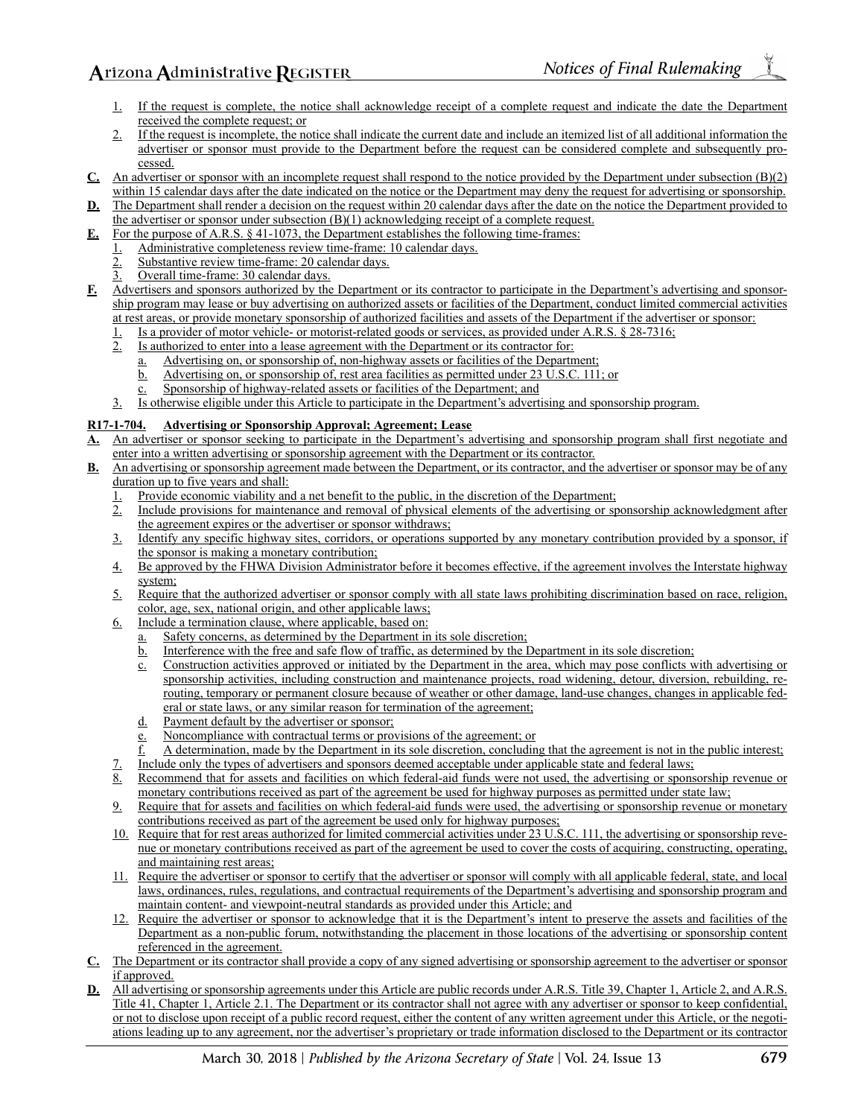Arizona Administrative REGISTER

- 1. If the request is complete, the notice shall acknowledge receipt of a complete request and indicate the date the Department received the complete request; or
- 2. If the request is incomplete, the notice shall indicate the current date and include an itemized list of all additional information the advertiser or sponsor must provide to the Department before the request can be considered complete and subsequently processed.
- **C.** An advertiser or sponsor with an incomplete request shall respond to the notice provided by the Department under subsection (B)(2) within 15 calendar days after the date indicated on the notice or the Department may deny the request for advertising or sponsorship.
- **D.** The Department shall render a decision on the request within 20 calendar days after the date on the notice the Department provided to the advertiser or sponsor under subsection  $(B)(1)$  acknowledging receipt of a complete request.
- **E.** For the purpose of A.R.S. § 41-1073, the Department establishes the following time-frames:
	- 1. Administrative completeness review time-frame: 10 calendar days.
	- Substantive review time-frame: 20 calendar days.
	- 3. Overall time-frame: 30 calendar days.
- **F.** Advertisers and sponsors authorized by the Department or its contractor to participate in the Department's advertising and sponsorship program may lease or buy advertising on authorized assets or facilities of the Department, conduct limited commercial activities at rest areas, or provide monetary sponsorship of authorized facilities and assets of the Department if the advertiser or sponsor:
	- 1. Is a provider of motor vehicle- or motorist-related goods or services, as provided under A.R.S.  $\S$  28-7316;<br>2. Is authorized to enter into a lease agreement with the Department or its contractor for:
	- 2. Is authorized to enter into a lease agreement with the Department or its contractor for:
		- a. Advertising on, or sponsorship of, non-highway assets or facilities of the Department;
		- b. Advertising on, or sponsorship of, rest area facilities as permitted under 23 U.S.C. 111; or
		- c. Sponsorship of highway-related assets or facilities of the Department; and
	- 3. Is otherwise eligible under this Article to participate in the Department's advertising and sponsorship program.

### **R17-1-704. Advertising or Sponsorship Approval; Agreement; Lease**

- **A.** An advertiser or sponsor seeking to participate in the Department's advertising and sponsorship program shall first negotiate and enter into a written advertising or sponsorship agreement with the Department or its contractor.
- **B.** An advertising or sponsorship agreement made between the Department, or its contractor, and the advertiser or sponsor may be of any duration up to five years and shall:
	- 1. Provide economic viability and a net benefit to the public, in the discretion of the Department;
	- 2. Include provisions for maintenance and removal of physical elements of the advertising or sponsorship acknowledgment after the agreement expires or the advertiser or sponsor withdraws;
	- 3. Identify any specific highway sites, corridors, or operations supported by any monetary contribution provided by a sponsor, if the sponsor is making a monetary contribution;
	- 4. Be approved by the FHWA Division Administrator before it becomes effective, if the agreement involves the Interstate highway system;
	- 5. Require that the authorized advertiser or sponsor comply with all state laws prohibiting discrimination based on race, religion, color, age, sex, national origin, and other applicable laws;
	- 6. Include a termination clause, where applicable, based on:
		- a. Safety concerns, as determined by the Department in its sole discretion;
		- b. Interference with the free and safe flow of traffic, as determined by the Department in its sole discretion;
		- c. Construction activities approved or initiated by the Department in the area, which may pose conflicts with advertising or sponsorship activities, including construction and maintenance projects, road widening, detour, diversion, rebuilding, rerouting, temporary or permanent closure because of weather or other damage, land-use changes, changes in applicable federal or state laws, or any similar reason for termination of the agreement;
		- d. Payment default by the advertiser or sponsor;
		- e. Noncompliance with contractual terms or provisions of the agreement; or
		- f. A determination, made by the Department in its sole discretion, concluding that the agreement is not in the public interest;
	- 7. Include only the types of advertisers and sponsors deemed acceptable under applicable state and federal laws;<br>8. Recommend that for assets and facilities on which federal-aid funds were not used, the advertising or spon
	- Recommend that for assets and facilities on which federal-aid funds were not used, the advertising or sponsorship revenue or monetary contributions received as part of the agreement be used for highway purposes as permitted under state law;
	- 9. Require that for assets and facilities on which federal-aid funds were used, the advertising or sponsorship revenue or monetary contributions received as part of the agreement be used only for highway purposes;
	- 10. Require that for rest areas authorized for limited commercial activities under 23 U.S.C. 111, the advertising or sponsorship revenue or monetary contributions received as part of the agreement be used to cover the costs of acquiring, constructing, operating, and maintaining rest areas;
	- 11. Require the advertiser or sponsor to certify that the advertiser or sponsor will comply with all applicable federal, state, and local laws, ordinances, rules, regulations, and contractual requirements of the Department's advertising and sponsorship program and maintain content- and viewpoint-neutral standards as provided under this Article; and
	- 12. Require the advertiser or sponsor to acknowledge that it is the Department's intent to preserve the assets and facilities of the Department as a non-public forum, notwithstanding the placement in those locations of the advertising or sponsorship content referenced in the agreement.
- **C.** The Department or its contractor shall provide a copy of any signed advertising or sponsorship agreement to the advertiser or sponsor if approved.
- **D.** All advertising or sponsorship agreements under this Article are public records under A.R.S. Title 39, Chapter 1, Article 2, and A.R.S. Title 41, Chapter 1, Article 2.1. The Department or its contractor shall not agree with any advertiser or sponsor to keep confidential, or not to disclose upon receipt of a public record request, either the content of any written agreement under this Article, or the negotiations leading up to any agreement, nor the advertiser's proprietary or trade information disclosed to the Department or its contractor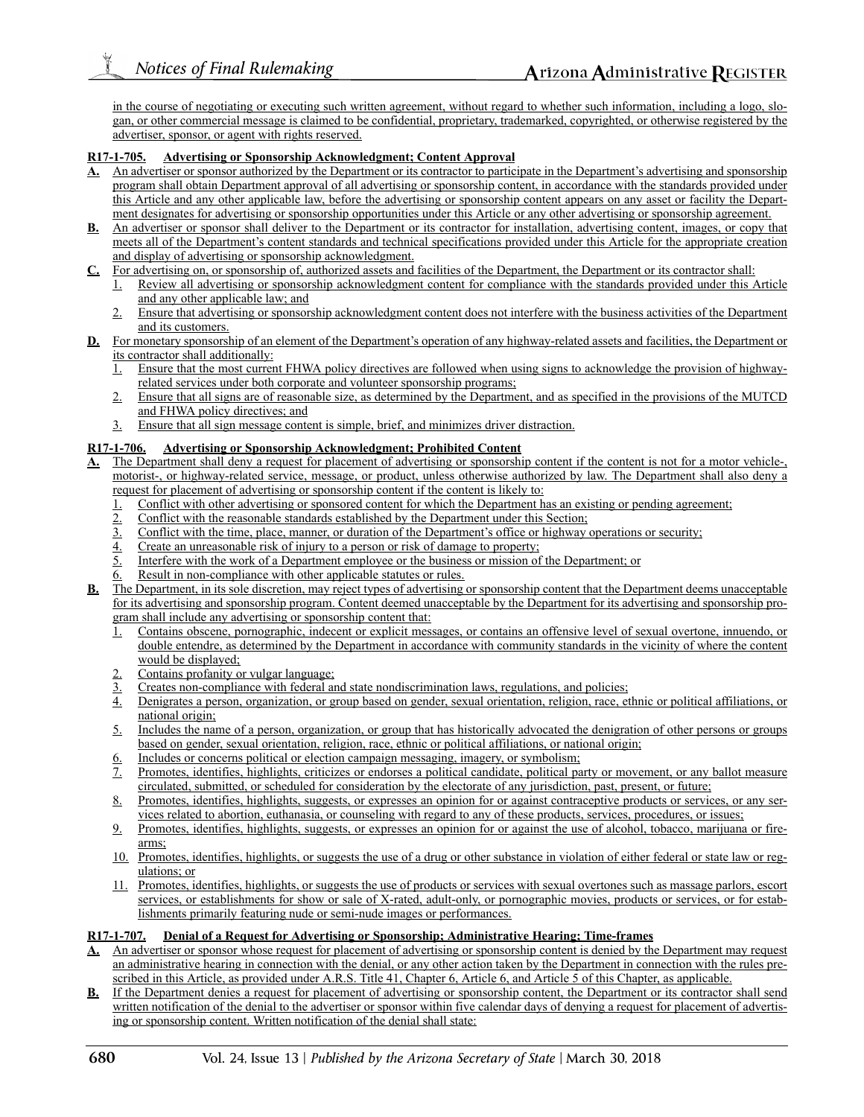in the course of negotiating or executing such written agreement, without regard to whether such information, including a logo, slogan, or other commercial message is claimed to be confidential, proprietary, trademarked, copyrighted, or otherwise registered by the advertiser, sponsor, or agent with rights reserved.

### **R17-1-705. Advertising or Sponsorship Acknowledgment; Content Approval**

- **A.** An advertiser or sponsor authorized by the Department or its contractor to participate in the Department's advertising and sponsorship program shall obtain Department approval of all advertising or sponsorship content, in accordance with the standards provided under this Article and any other applicable law, before the advertising or sponsorship content appears on any asset or facility the Department designates for advertising or sponsorship opportunities under this Article or any other advertising or sponsorship agreement.
- **B.** An advertiser or sponsor shall deliver to the Department or its contractor for installation, advertising content, images, or copy that meets all of the Department's content standards and technical specifications provided under this Article for the appropriate creation and display of advertising or sponsorship acknowledgment.
- **C.** For advertising on, or sponsorship of, authorized assets and facilities of the Department, the Department or its contractor shall:
	- 1. Review all advertising or sponsorship acknowledgment content for compliance with the standards provided under this Article and any other applicable law; and
	- 2. Ensure that advertising or sponsorship acknowledgment content does not interfere with the business activities of the Department and its customers.
- **D.** For monetary sponsorship of an element of the Department's operation of any highway-related assets and facilities, the Department or its contractor shall additionally:
	- 1. Ensure that the most current FHWA policy directives are followed when using signs to acknowledge the provision of highwayrelated services under both corporate and volunteer sponsorship programs;
	- 2. Ensure that all signs are of reasonable size, as determined by the Department, and as specified in the provisions of the MUTCD and FHWA policy directives; and
	- 3. Ensure that all sign message content is simple, brief, and minimizes driver distraction.

### **R17-1-706. Advertising or Sponsorship Acknowledgment; Prohibited Content**

- The Department shall deny a request for placement of advertising or sponsorship content if the content is not for a motor vehicle-, motorist-, or highway-related service, message, or product, unless otherwise authorized by law. The Department shall also deny a request for placement of advertising or sponsorship content if the content is likely to:
	- Conflict with other advertising or sponsored content for which the Department has an existing or pending agreement;
	- 2. Conflict with the reasonable standards established by the Department under this Section;<br>3. Conflict with the time, place, manner, or duration of the Department's office or highway
	- 3. Conflict with the time, place, manner, or duration of the Department's office or highway operations or security;
	- 4. Create an unreasonable risk of injury to a person or risk of damage to property;
	- 5. Interfere with the work of a Department employee or the business or mission of the Department; or
	- Result in non-compliance with other applicable statutes or rules.
- **B.** The Department, in its sole discretion, may reject types of advertising or sponsorship content that the Department deems unacceptable for its advertising and sponsorship program. Content deemed unacceptable by the Department for its advertising and sponsorship program shall include any advertising or sponsorship content that:
	- 1. Contains obscene, pornographic, indecent or explicit messages, or contains an offensive level of sexual overtone, innuendo, or double entendre, as determined by the Department in accordance with community standards in the vicinity of where the content would be displayed;
	- Contains profanity or vulgar language;
	- 3. Creates non-compliance with federal and state nondiscrimination laws, regulations, and policies;<br>4. Denigrates a person, organization, or group based on gender, sexual orientation, religion, race, et
	- Denigrates a person, organization, or group based on gender, sexual orientation, religion, race, ethnic or political affiliations, or national origin;
	- 5. Includes the name of a person, organization, or group that has historically advocated the denigration of other persons or groups based on gender, sexual orientation, religion, race, ethnic or political affiliations, or national origin;
	- 6. Includes or concerns political or election campaign messaging, imagery, or symbolism;
	- 7. Promotes, identifies, highlights, criticizes or endorses a political candidate, political party or movement, or any ballot measure circulated, submitted, or scheduled for consideration by the electorate of any jurisdiction, past, present, or future;
	- 8. Promotes, identifies, highlights, suggests, or expresses an opinion for or against contraceptive products or services, or any services related to abortion, euthanasia, or counseling with regard to any of these products, services, procedures, or issues;
	- 9. Promotes, identifies, highlights, suggests, or expresses an opinion for or against the use of alcohol, tobacco, marijuana or firearms;
	- 10. Promotes, identifies, highlights, or suggests the use of a drug or other substance in violation of either federal or state law or regulations; or
	- 11. Promotes, identifies, highlights, or suggests the use of products or services with sexual overtones such as massage parlors, escort services, or establishments for show or sale of X-rated, adult-only, or pornographic movies, products or services, or for establishments primarily featuring nude or semi-nude images or performances.

### **R17-1-707. Denial of a Request for Advertising or Sponsorship; Administrative Hearing; Time-frames**

- **A.** An advertiser or sponsor whose request for placement of advertising or sponsorship content is denied by the Department may request an administrative hearing in connection with the denial, or any other action taken by the Department in connection with the rules prescribed in this Article, as provided under A.R.S. Title 41, Chapter 6, Article 6, and Article 5 of this Chapter, as applicable.
- **B.** If the Department denies a request for placement of advertising or sponsorship content, the Department or its contractor shall send written notification of the denial to the advertiser or sponsor within five calendar days of denying a request for placement of advertising or sponsorship content. Written notification of the denial shall state: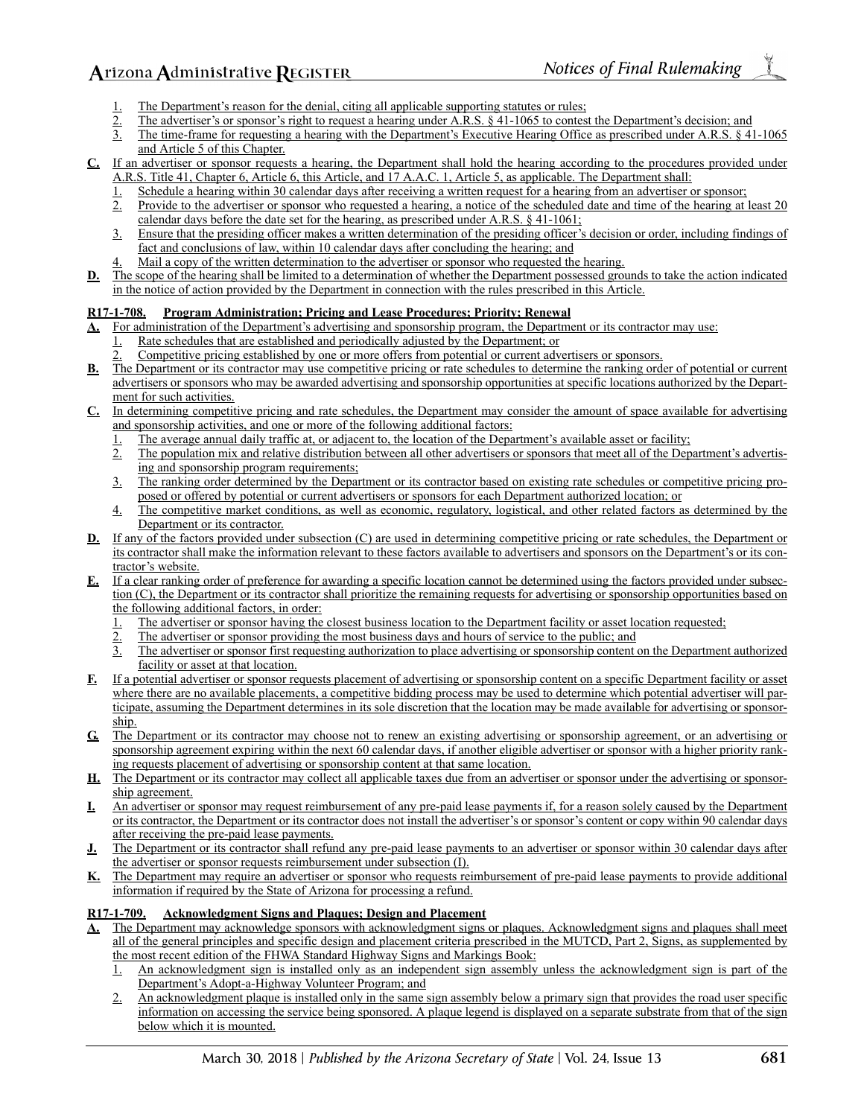- 
- 1. The Department's reason for the denial, citing all applicable supporting statutes or rules;<br>
2. The advertiser's or sponsor's right to request a hearing under A.R.S. § 41-1065 to contes<br>
3. The time-frame for requesting The advertiser's or sponsor's right to request a hearing under A.R.S. § 41-1065 to contest the Department's decision; and
- 3. The time-frame for requesting a hearing with the Department's Executive Hearing Office as prescribed under A.R.S. § 41-1065 and Article 5 of this Chapter.
- **C.** If an advertiser or sponsor requests a hearing, the Department shall hold the hearing according to the procedures provided under A.R.S. Title 41, Chapter 6, Article 6, this Article, and 17 A.A.C. 1, Article 5, as applicable. The Department shall:
	- Schedule a hearing within 30 calendar days after receiving a written request for a hearing from an advertiser or sponsor;
	- 2. Provide to the advertiser or sponsor who requested a hearing, a notice of the scheduled date and time of the hearing at least 20 calendar days before the date set for the hearing, as prescribed under A.R.S. § 41-1061;
	- 3. Ensure that the presiding officer makes a written determination of the presiding officer's decision or order, including findings of fact and conclusions of law, within 10 calendar days after concluding the hearing; and
	- Mail a copy of the written determination to the advertiser or sponsor who requested the hearing.
- **D.** The scope of the hearing shall be limited to a determination of whether the Department possessed grounds to take the action indicated in the notice of action provided by the Department in connection with the rules prescribed in this Article.

## **R17-1-708. Program Administration; Pricing and Lease Procedures; Priority; Renewal**

- **A.** For administration of the Department's advertising and sponsorship program, the Department or its contractor may use:
	- Rate schedules that are established and periodically adjusted by the Department; or
	- 2. Competitive pricing established by one or more offers from potential or current advertisers or sponsors.
- **B.** The Department or its contractor may use competitive pricing or rate schedules to determine the ranking order of potential or current advertisers or sponsors who may be awarded advertising and sponsorship opportunities at specific locations authorized by the Department for such activities.
- **C.** In determining competitive pricing and rate schedules, the Department may consider the amount of space available for advertising and sponsorship activities, and one or more of the following additional factors:
	- The average annual daily traffic at, or adjacent to, the location of the Department's available asset or facility;
	- 2. The population mix and relative distribution between all other advertisers or sponsors that meet all of the Department's advertising and sponsorship program requirements;
	- 3. The ranking order determined by the Department or its contractor based on existing rate schedules or competitive pricing proposed or offered by potential or current advertisers or sponsors for each Department authorized location; or
	- 4. The competitive market conditions, as well as economic, regulatory, logistical, and other related factors as determined by the Department or its contractor.
- **D.** If any of the factors provided under subsection (C) are used in determining competitive pricing or rate schedules, the Department or its contractor shall make the information relevant to these factors available to advertisers and sponsors on the Department's or its contractor's website.
- **E.** If a clear ranking order of preference for awarding a specific location cannot be determined using the factors provided under subsection (C), the Department or its contractor shall prioritize the remaining requests for advertising or sponsorship opportunities based on the following additional factors, in order:
	- 1. The advertiser or sponsor having the closest business location to the Department facility or asset location requested;
	- 2. The advertiser or sponsor providing the most business days and hours of service to the public; and
	- 3. The advertiser or sponsor first requesting authorization to place advertising or sponsorship content on the Department authorized facility or asset at that location.
- **F.** If a potential advertiser or sponsor requests placement of advertising or sponsorship content on a specific Department facility or asset where there are no available placements, a competitive bidding process may be used to determine which potential advertiser will participate, assuming the Department determines in its sole discretion that the location may be made available for advertising or sponsorship.
- G. The Department or its contractor may choose not to renew an existing advertising or sponsorship agreement, or an advertising or sponsorship agreement expiring within the next 60 calendar days, if another eligible advertiser or sponsor with a higher priority ranking requests placement of advertising or sponsorship content at that same location.
- **H.** The Department or its contractor may collect all applicable taxes due from an advertiser or sponsor under the advertising or sponsorship agreement.
- **I.** An advertiser or sponsor may request reimbursement of any pre-paid lease payments if, for a reason solely caused by the Department or its contractor, the Department or its contractor does not install the advertiser's or sponsor's content or copy within 90 calendar days after receiving the pre-paid lease payments.
- **J.** The Department or its contractor shall refund any pre-paid lease payments to an advertiser or sponsor within 30 calendar days after the advertiser or sponsor requests reimbursement under subsection (I).
- **K.** The Department may require an advertiser or sponsor who requests reimbursement of pre-paid lease payments to provide additional information if required by the State of Arizona for processing a refund.

## **R17-1-709. Acknowledgment Signs and Plaques; Design and Placement**

- The Department may acknowledge sponsors with acknowledgment signs or plaques. Acknowledgment signs and plaques shall meet all of the general principles and specific design and placement criteria prescribed in the MUTCD, Part 2, Signs, as supplemented by the most recent edition of the FHWA Standard Highway Signs and Markings Book:
	- 1. An acknowledgment sign is installed only as an independent sign assembly unless the acknowledgment sign is part of the Department's Adopt-a-Highway Volunteer Program; and
	- 2. An acknowledgment plaque is installed only in the same sign assembly below a primary sign that provides the road user specific information on accessing the service being sponsored. A plaque legend is displayed on a separate substrate from that of the sign below which it is mounted.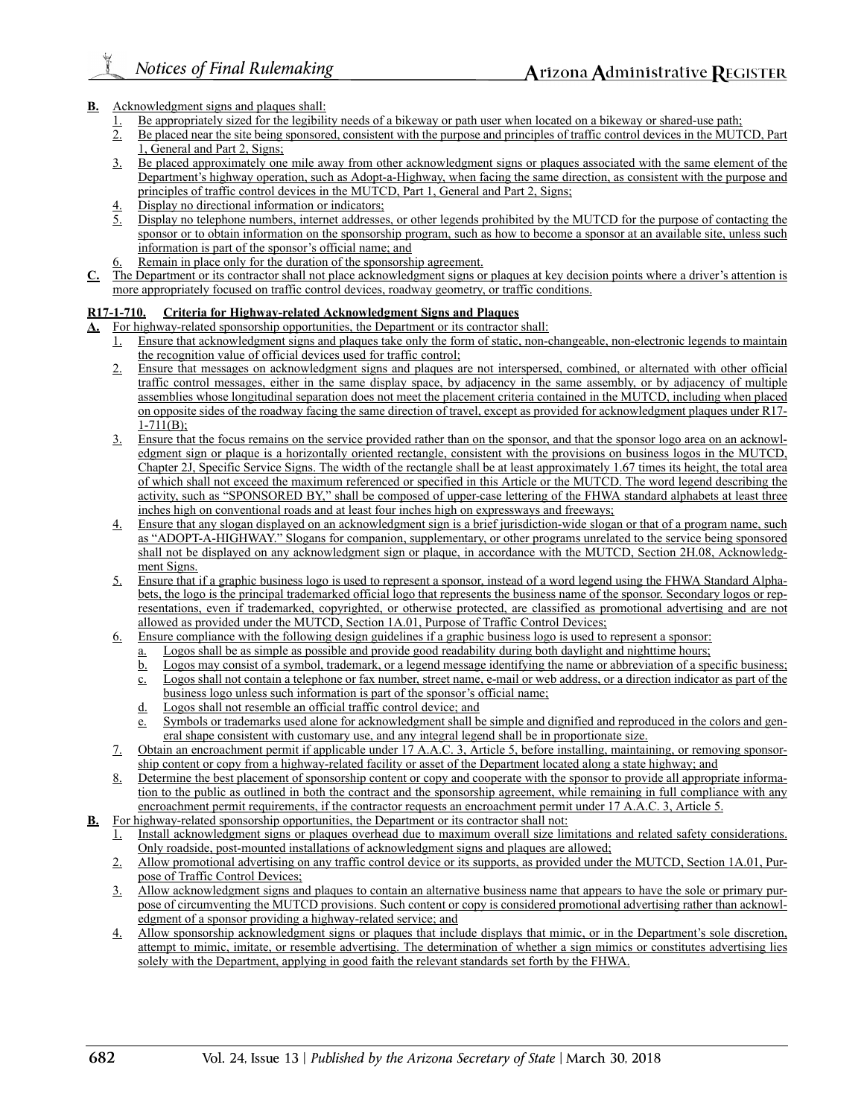### **B.** Acknowledgment signs and plaques shall:

- 1. Be appropriately sized for the legibility needs of a bikeway or path user when located on a bikeway or shared-use path;<br>2. Be placed near the site being sponsored, consistent with the purpose and principles of traffic c
- Be placed near the site being sponsored, consistent with the purpose and principles of traffic control devices in the MUTCD, Part 1, General and Part 2, Signs;
- 3. Be placed approximately one mile away from other acknowledgment signs or plaques associated with the same element of the Department's highway operation, such as Adopt-a-Highway, when facing the same direction, as consistent with the purpose and principles of traffic control devices in the MUTCD, Part 1, General and Part 2, Signs;
- Display no directional information or indicators;
- Display no telephone numbers, internet addresses, or other legends prohibited by the MUTCD for the purpose of contacting the sponsor or to obtain information on the sponsorship program, such as how to become a sponsor at an available site, unless such information is part of the sponsor's official name; and
- Remain in place only for the duration of the sponsorship agreement.
- **C.** The Department or its contractor shall not place acknowledgment signs or plaques at key decision points where a driver's attention is more appropriately focused on traffic control devices, roadway geometry, or traffic conditions.

### **R17-1-710. Criteria for Highway-related Acknowledgment Signs and Plaques**

- **A.** For highway-related sponsorship opportunities, the Department or its contractor shall:
	- 1. Ensure that acknowledgment signs and plaques take only the form of static, non-changeable, non-electronic legends to maintain the recognition value of official devices used for traffic control;
	- 2. Ensure that messages on acknowledgment signs and plaques are not interspersed, combined, or alternated with other official traffic control messages, either in the same display space, by adjacency in the same assembly, or by adjacency of multiple assemblies whose longitudinal separation does not meet the placement criteria contained in the MUTCD, including when placed on opposite sides of the roadway facing the same direction of travel, except as provided for acknowledgment plaques under R17-  $1 - 711(B);$
	- 3. Ensure that the focus remains on the service provided rather than on the sponsor, and that the sponsor logo area on an acknowledgment sign or plaque is a horizontally oriented rectangle, consistent with the provisions on business logos in the MUTCD, Chapter 2J, Specific Service Signs. The width of the rectangle shall be at least approximately 1.67 times its height, the total area of which shall not exceed the maximum referenced or specified in this Article or the MUTCD. The word legend describing the activity, such as "SPONSORED BY," shall be composed of upper-case lettering of the FHWA standard alphabets at least three inches high on conventional roads and at least four inches high on expressways and freeways;
	- 4. Ensure that any slogan displayed on an acknowledgment sign is a brief jurisdiction-wide slogan or that of a program name, such as "ADOPT-A-HIGHWAY." Slogans for companion, supplementary, or other programs unrelated to the service being sponsored shall not be displayed on any acknowledgment sign or plaque, in accordance with the MUTCD, Section 2H.08, Acknowledgment Signs.
	- 5. Ensure that if a graphic business logo is used to represent a sponsor, instead of a word legend using the FHWA Standard Alphabets, the logo is the principal trademarked official logo that represents the business name of the sponsor. Secondary logos or representations, even if trademarked, copyrighted, or otherwise protected, are classified as promotional advertising and are not allowed as provided under the MUTCD, Section 1A.01, Purpose of Traffic Control Devices;
	- 6. Ensure compliance with the following design guidelines if a graphic business logo is used to represent a sponsor:
		- a. Logos shall be as simple as possible and provide good readability during both daylight and nighttime hours;
		- b. Logos may consist of a symbol, trademark, or a legend message identifying the name or abbreviation of a specific business; c. Logos shall not contain a telephone or fax number, street name, e-mail or web address, or a direction indicator as part of the
		- business logo unless such information is part of the sponsor's official name;
		- d. Logos shall not resemble an official traffic control device; and
		- e. Symbols or trademarks used alone for acknowledgment shall be simple and dignified and reproduced in the colors and general shape consistent with customary use, and any integral legend shall be in proportionate size.
	- 7. Obtain an encroachment permit if applicable under 17 A.A.C. 3, Article 5, before installing, maintaining, or removing sponsorship content or copy from a highway-related facility or asset of the Department located along a state highway; and
	- 8. Determine the best placement of sponsorship content or copy and cooperate with the sponsor to provide all appropriate information to the public as outlined in both the contract and the sponsorship agreement, while remaining in full compliance with any encroachment permit requirements, if the contractor requests an encroachment permit under 17 A.A.C. 3, Article 5.
- **B.** For highway-related sponsorship opportunities, the Department or its contractor shall not:
	- 1. Install acknowledgment signs or plaques overhead due to maximum overall size limitations and related safety considerations. Only roadside, post-mounted installations of acknowledgment signs and plaques are allowed;
	- 2. Allow promotional advertising on any traffic control device or its supports, as provided under the MUTCD, Section 1A.01, Purpose of Traffic Control Devices;
	- 3. Allow acknowledgment signs and plaques to contain an alternative business name that appears to have the sole or primary purpose of circumventing the MUTCD provisions. Such content or copy is considered promotional advertising rather than acknowledgment of a sponsor providing a highway-related service; and
	- 4. Allow sponsorship acknowledgment signs or plaques that include displays that mimic, or in the Department's sole discretion, attempt to mimic, imitate, or resemble advertising. The determination of whether a sign mimics or constitutes advertising lies solely with the Department, applying in good faith the relevant standards set forth by the FHWA.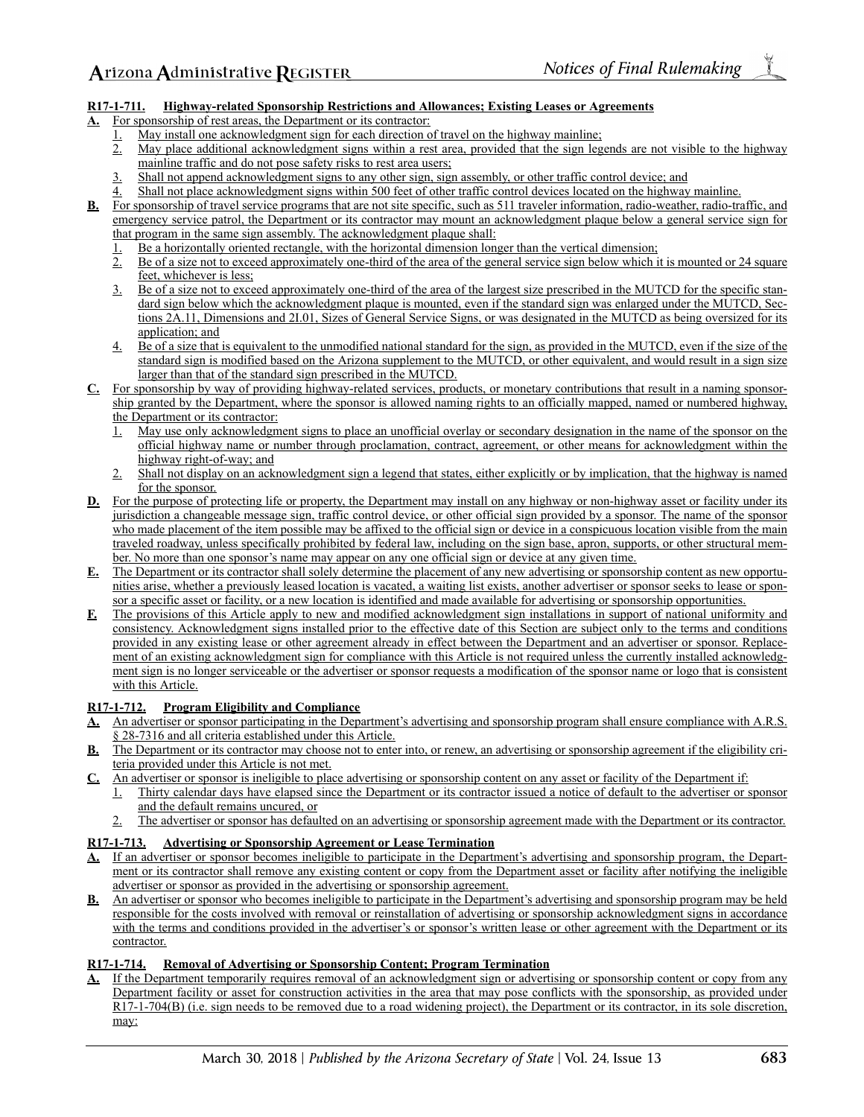### **R17-1-711. Highway-related Sponsorship Restrictions and Allowances; Existing Leases or Agreements**

**A.** For sponsorship of rest areas, the Department or its contractor:

- 1. May install one acknowledgment sign for each direction of travel on the highway mainline;
- 2. May place additional acknowledgment signs within a rest area, provided that the sign legends are not visible to the highway mainline traffic and do not pose safety risks to rest area users;
- Shall not append acknowledgment signs to any other sign, sign assembly, or other traffic control device; and
- Shall not place acknowledgment signs within 500 feet of other traffic control devices located on the highway mainline.
- **B.** For sponsorship of travel service programs that are not site specific, such as 511 traveler information, radio-weather, radio-traffic, and emergency service patrol, the Department or its contractor may mount an acknowledgment plaque below a general service sign for that program in the same sign assembly. The acknowledgment plaque shall:
	- 1. Be a horizontally oriented rectangle, with the horizontal dimension longer than the vertical dimension;
	- 2. Be of a size not to exceed approximately one-third of the area of the general service sign below which it is mounted or 24 square feet, whichever is less;
	- 3. Be of a size not to exceed approximately one-third of the area of the largest size prescribed in the MUTCD for the specific standard sign below which the acknowledgment plaque is mounted, even if the standard sign was enlarged under the MUTCD, Sections 2A.11, Dimensions and 2I.01, Sizes of General Service Signs, or was designated in the MUTCD as being oversized for its application; and
	- 4. Be of a size that is equivalent to the unmodified national standard for the sign, as provided in the MUTCD, even if the size of the standard sign is modified based on the Arizona supplement to the MUTCD, or other equivalent, and would result in a sign size larger than that of the standard sign prescribed in the MUTCD.
- **C.** For sponsorship by way of providing highway-related services, products, or monetary contributions that result in a naming sponsorship granted by the Department, where the sponsor is allowed naming rights to an officially mapped, named or numbered highway, the Department or its contractor:
	- 1. May use only acknowledgment signs to place an unofficial overlay or secondary designation in the name of the sponsor on the official highway name or number through proclamation, contract, agreement, or other means for acknowledgment within the highway right-of-way; and
	- 2. Shall not display on an acknowledgment sign a legend that states, either explicitly or by implication, that the highway is named for the sponsor.
- **D.** For the purpose of protecting life or property, the Department may install on any highway or non-highway asset or facility under its jurisdiction a changeable message sign, traffic control device, or other official sign provided by a sponsor. The name of the sponsor who made placement of the item possible may be affixed to the official sign or device in a conspicuous location visible from the main traveled roadway, unless specifically prohibited by federal law, including on the sign base, apron, supports, or other structural member. No more than one sponsor's name may appear on any one official sign or device at any given time.
- **E.** The Department or its contractor shall solely determine the placement of any new advertising or sponsorship content as new opportunities arise, whether a previously leased location is vacated, a waiting list exists, another advertiser or sponsor seeks to lease or sponsor a specific asset or facility, or a new location is identified and made available for advertising or sponsorship opportunities.
- **F.** The provisions of this Article apply to new and modified acknowledgment sign installations in support of national uniformity and consistency. Acknowledgment signs installed prior to the effective date of this Section are subject only to the terms and conditions provided in any existing lease or other agreement already in effect between the Department and an advertiser or sponsor. Replacement of an existing acknowledgment sign for compliance with this Article is not required unless the currently installed acknowledgment sign is no longer serviceable or the advertiser or sponsor requests a modification of the sponsor name or logo that is consistent with this Article.

### **R17-1-712. Program Eligibility and Compliance**

- **A.** An advertiser or sponsor participating in the Department's advertising and sponsorship program shall ensure compliance with A.R.S. § 28-7316 and all criteria established under this Article.
- **B.** The Department or its contractor may choose not to enter into, or renew, an advertising or sponsorship agreement if the eligibility criteria provided under this Article is not met.
- **C.** An advertiser or sponsor is ineligible to place advertising or sponsorship content on any asset or facility of the Department if:
	- 1. Thirty calendar days have elapsed since the Department or its contractor issued a notice of default to the advertiser or sponsor and the default remains uncured, or
	- 2. The advertiser or sponsor has defaulted on an advertising or sponsorship agreement made with the Department or its contractor.

### **R17-1-713. Advertising or Sponsorship Agreement or Lease Termination**

- **A.** If an advertiser or sponsor becomes ineligible to participate in the Department's advertising and sponsorship program, the Department or its contractor shall remove any existing content or copy from the Department asset or facility after notifying the ineligible advertiser or sponsor as provided in the advertising or sponsorship agreement.
- **B.** An advertiser or sponsor who becomes ineligible to participate in the Department's advertising and sponsorship program may be held responsible for the costs involved with removal or reinstallation of advertising or sponsorship acknowledgment signs in accordance with the terms and conditions provided in the advertiser's or sponsor's written lease or other agreement with the Department or its contractor.

### **R17-1-714. Removal of Advertising or Sponsorship Content; Program Termination**

If the Department temporarily requires removal of an acknowledgment sign or advertising or sponsorship content or copy from any Department facility or asset for construction activities in the area that may pose conflicts with the sponsorship, as provided under R17-1-704(B) (i.e. sign needs to be removed due to a road widening project), the Department or its contractor, in its sole discretion, may: